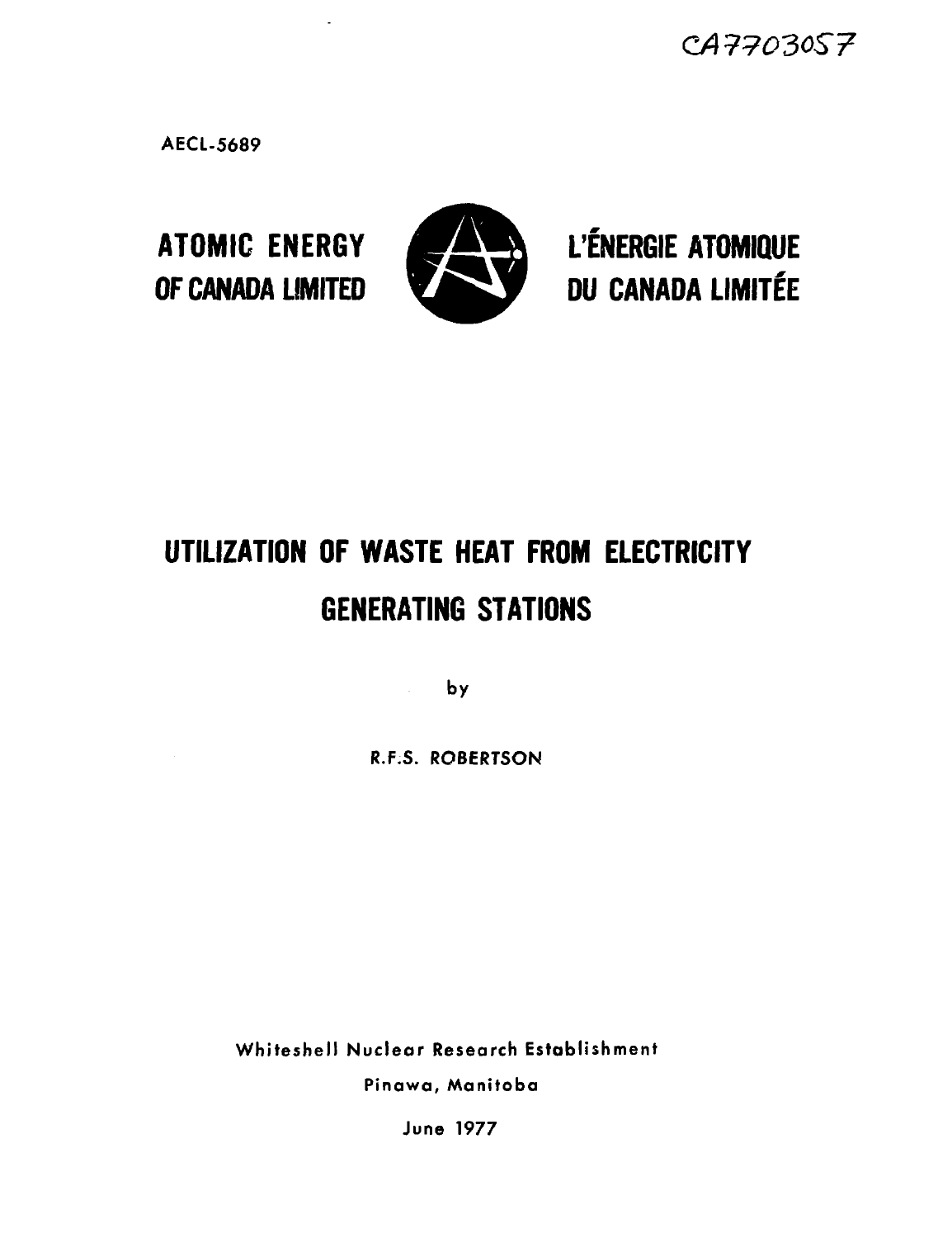*CA77030S7*

**AECL-5689**



**ATOMIC ENERGY WS ^ L'ENERGIE ATOMIQUE** OF CANADA LIMITED **bu** CANADA LIMITÉE

# **UTILIZATION OF WASTE HEAT FROM ELECTRICITY GENERATING STATIONS**

**by**

**R.F.S. ROBERTSON**

**Whiteshell Nuclear Research Establishment Pinawa, Manitoba**

**June 1977**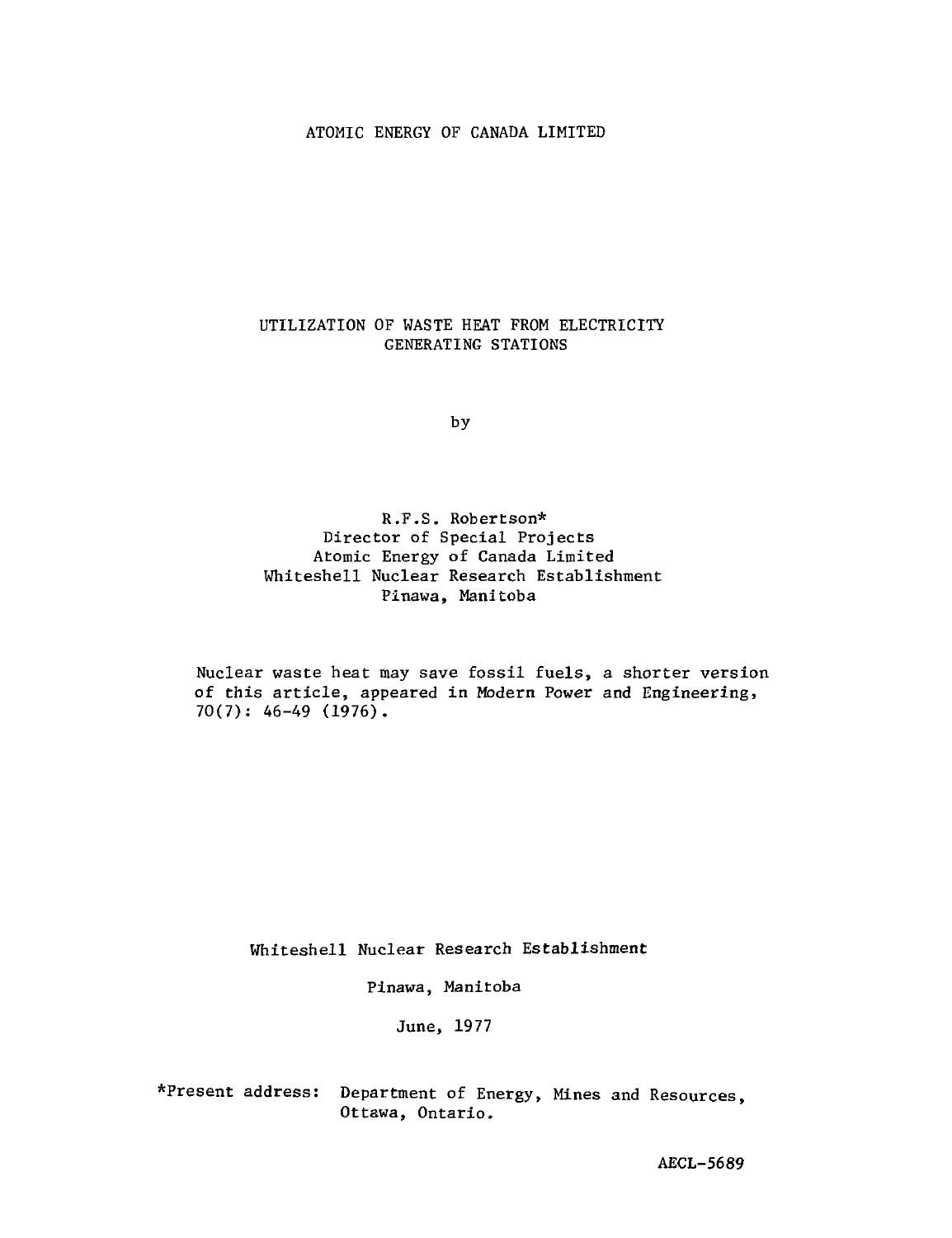#### ATOMIC ENERGY OF CANADA LIMITED

## UTILIZATION OF WASTE HEAT FROM ELECTRICITY GENERATING STATIONS

by

R.F.S. Robertson\* Director of Special Projects Atomic Energy of Canada Limited Whiteshell Nuclear Research Establishment Pinawa, Manitoba

Nuclear waste heat may save fossil fuels, a shorter version of this article, appeared in Modern Power and Engineering,  $70(7): 46-49 (1976)$ .

Whiteshell Nuclear Research Establishment

Pinawa, Manitoba

June, 1977

\*Present address: Department of Energy, Mines and Resources, Ottawa, Ontario.

AECL-5689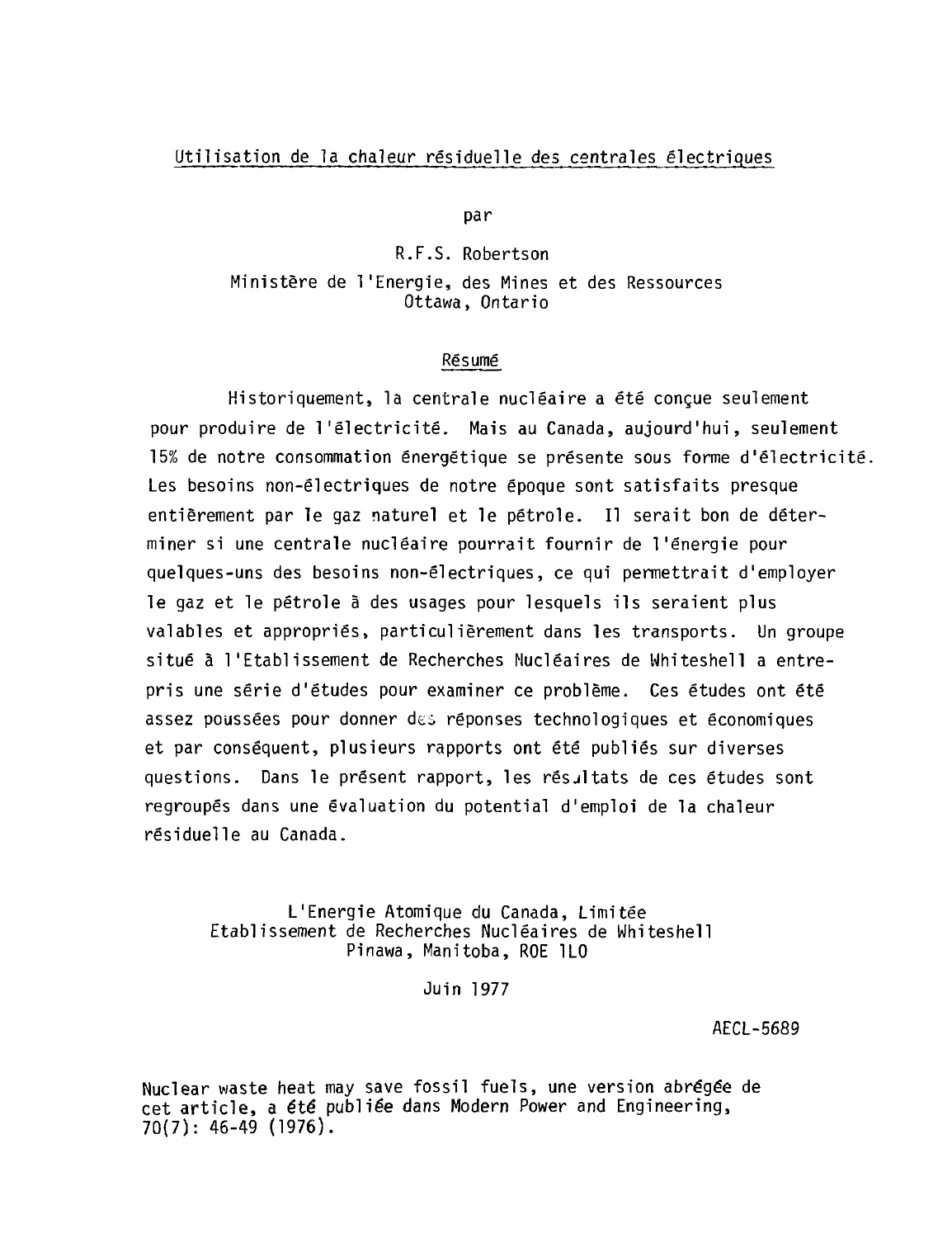## Utilisation de la chaleur résiduelle des centrales électriques

par

R.F.S. Robertson Ministère de l'Energie, des Mines et des Ressources Ottawa, Ontario

#### Résumé

Historiquement, la centrale nucléaire a été conçue seulement pour produire de l'électricité. Mais au Canada, aujourd'hui, seulement 15X de notre consommation énergétique se présente sous forme d'électricité. Les besoins non-électriques de notre époque sont satisfaits presque entièrement par le gaz naturel et le pétrole. Il serait bon de déterminer si une centrale nucléaire pourrait fournir de l'énergie pour quelques-uns des besoins non-électriques, ce qui permettrait d'employer le gaz et le pétrole à des usages pour lesquels ils seraient plus valables et appropriés, particulièrement dans les transports. Un groupe situé à l'Etablissement de Recherches Nucléaires de Whiteshell a entrepris une série d'études pour examiner ce problême. Ces études ont été assez poussées pour donner dei réponses technologiques et économiques et par conséquent, plusieurs rapports ont été publiés sur diverses questions. Dans le présent rapport, les résjltats de ces études sont regroupés dans une évaluation du potential d'emploi de la chaleur résiduelle au Canada.

L'Energie Atomique du Canada, Limitée Etablissement de Recherches Nucléaires de Whiteshell Pinawa, Manitoba, ROE 1L0

Juin 1977

AECL-5689

Nuclear waste heat may save fossil fuels, une version abrégée de cet article, a été publiée dans Modem Power and Engineering, 70(7): 46-49 (1976).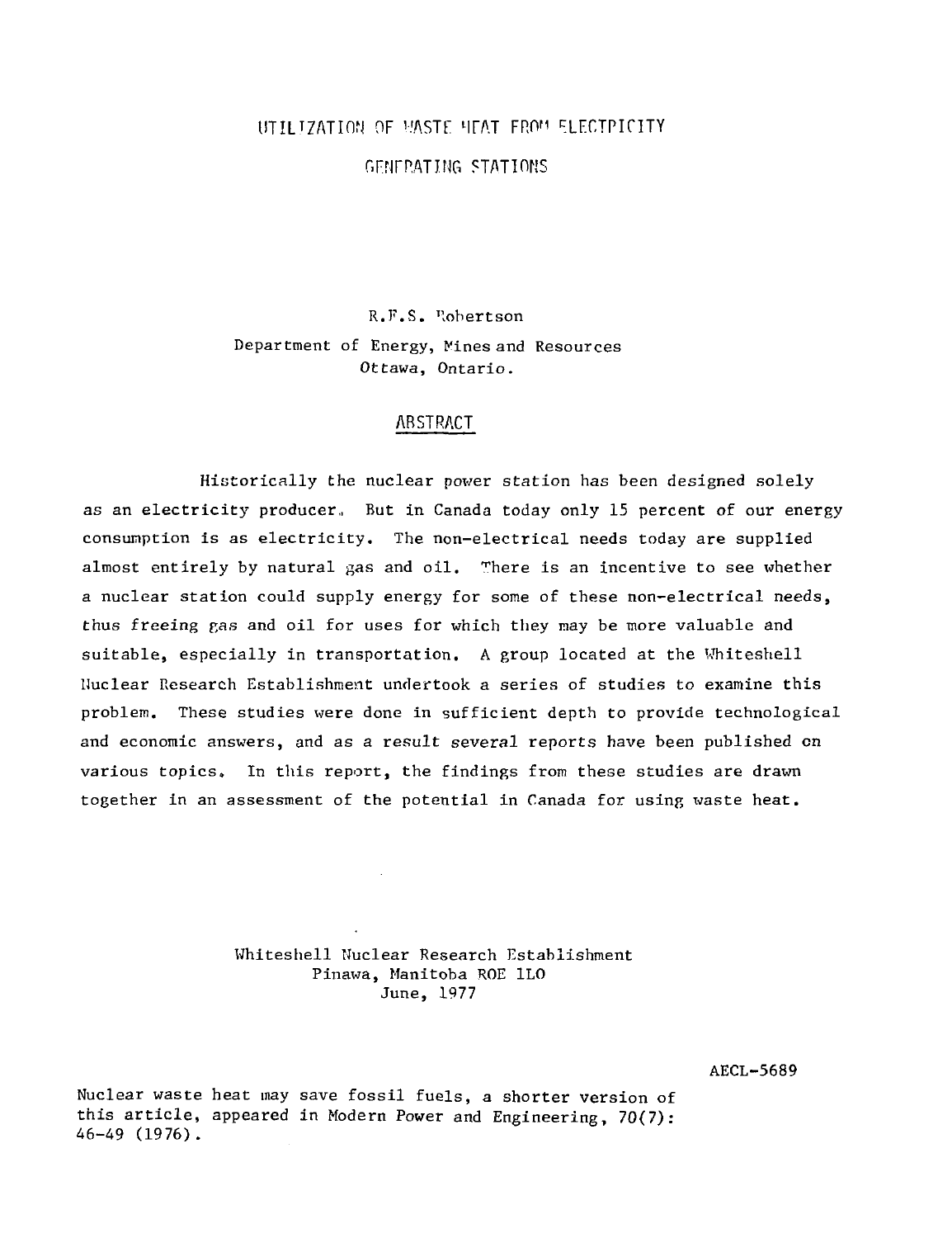# $\overline{\text{UTILIZATION}}$  of waste heat from ELECT

## r.FNFP.ATING STATIONS

R.F.S. Robertson Department of Energy, Kines and Resources Ottawa, Ontario.

## ABSTRACT

Historically the nuclear power station has been designed solely as an electricity producer., But in Canada today only 15 percent of our energy consumption is as electricity. The non-electrical needs today are supplied almost entirely by natural gas and oil. There is an incentive to see whether a nuclear station could supply energy for some of these non-electrical needs, thus freeing pas and oil for uses for which they may be more valuable and suitable, especially in transportation. A group located at the Whiteshell Nuclear Research Establishment undertook a series of studies to examine this problem. These studies were done in sufficient depth to provide technological and economic answers, and as a result several reports have been published on various topics. In this report, the findings from these studies are drawn together in an assessment of the potential in Canada for using waste heat.

> Whiteshell Nuclear Research Establishment Pinawa, Manitoba ROE 1L0 June, 1977

> > AECL-5689

Nuclear waste heat may save fossil fuels, a shorter version of this article, appeared in Modern Power and Engineering, 70(7): 46-49 (1976).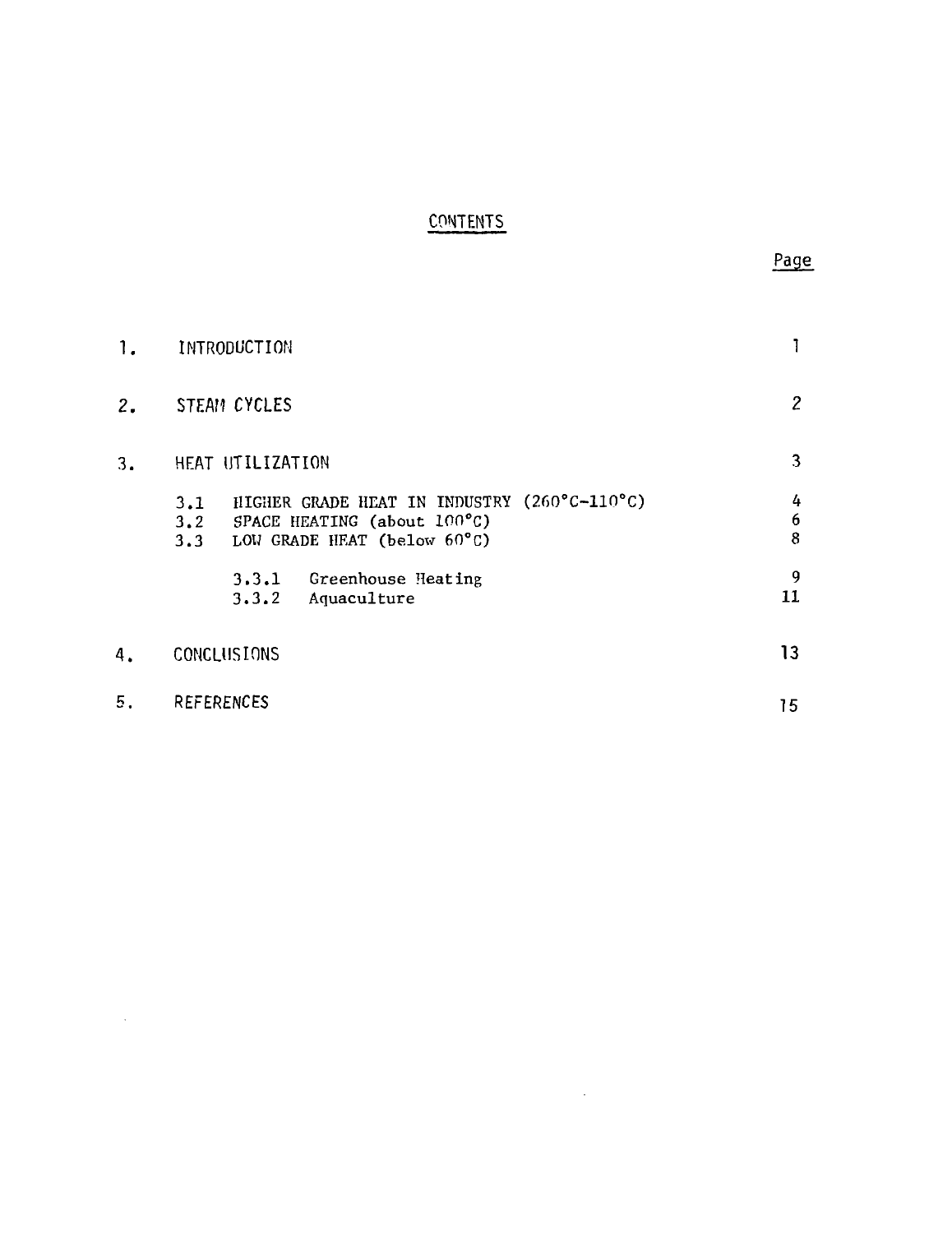## CONTENTS

| 1. | INTRODUCTION                                                                                                                |             |
|----|-----------------------------------------------------------------------------------------------------------------------------|-------------|
| 2. | <b>STEAM CYCLES</b>                                                                                                         | 2           |
| 3. | HEAT UTILIZATION                                                                                                            | 3           |
|    | HIGHER GRADE HEAT IN INDUSTRY (260°C-110°C)<br>3.1<br>3.2 SPACE HEATING (about 100°C)<br>LOW GRADE HEAT (below 60°C)<br>3.3 | 4<br>6<br>8 |
|    | 3.3.1 Greenhouse Heating<br>Aquaculture<br>3.3.2                                                                            | 9<br>11     |
| 4. | CONCLUSIONS                                                                                                                 | 13          |
| 5. | <b>REFERENCES</b>                                                                                                           | 15          |

 $\mathcal{L}^{\text{max}}_{\text{max}}$  and  $\mathcal{L}^{\text{max}}_{\text{max}}$ 

 $\sim 10^{-1}$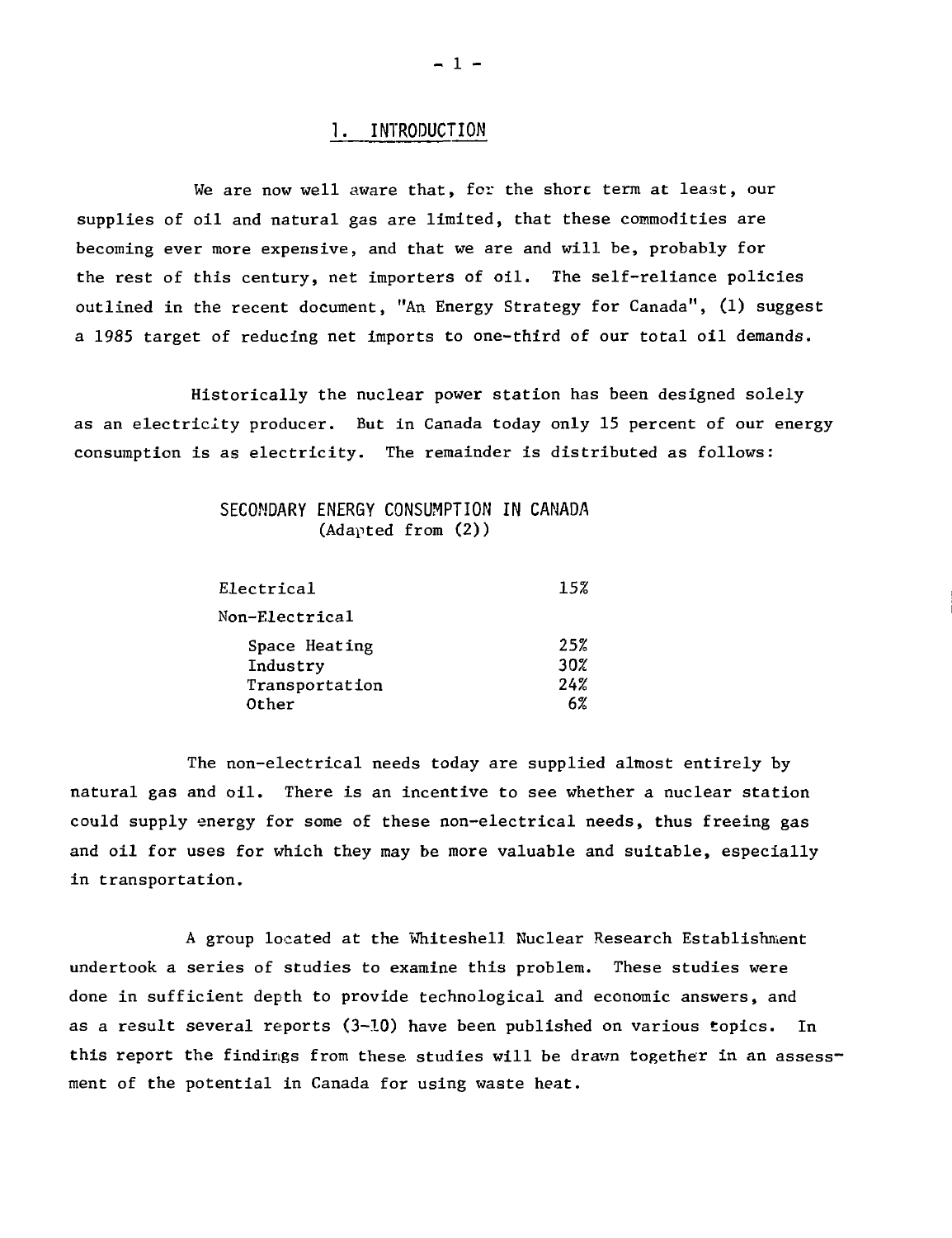## 1. INTRODUCTION

We are now well aware that, for the shore term at least, our supplies of oil and natural gas are limited, that these commodities are becoming ever more expensive, and that we are and will be, probably for the rest of this century, net importers of oil. The self-reliance policies outlined in the recent document, "An Energy Strategy for Canada", (1) suggest a 1985 target of reducing net imports to one-third of our total oil demands.

Historically the nuclear power station has been designed solely as an electricity producer. But in Canada today only 15 percent of our energy consumption is as electricity. The remainder is distributed as follows:

## SECONDARY ENERGY CONSUMPTION IN CANADA (Adapted from (2))

| Electrical     | 15% |
|----------------|-----|
| Non-Electrical |     |
| Space Heating  | 25% |
| Industry       | 30% |
| Transportation | 24% |
| Other          | 6%  |

The non-electrical needs today are supplied almost entirely by natural gas and oil. There is an incentive to see whether a nuclear station could supply energy for some of these non-electrical needs, thus freeing gas and oil for uses for which they may be more valuable and suitable, especially in transportation.

A group located at the Whiteshell Nuclear Research Establishment undertook a series of studies to examine this problem. These studies were done in sufficient depth to provide technological and economic answers, and as a result several reports (3-10) have been published on various topics. In this report the findings from these studies will be drawn together in an assessment of the potential in Canada for using waste heat.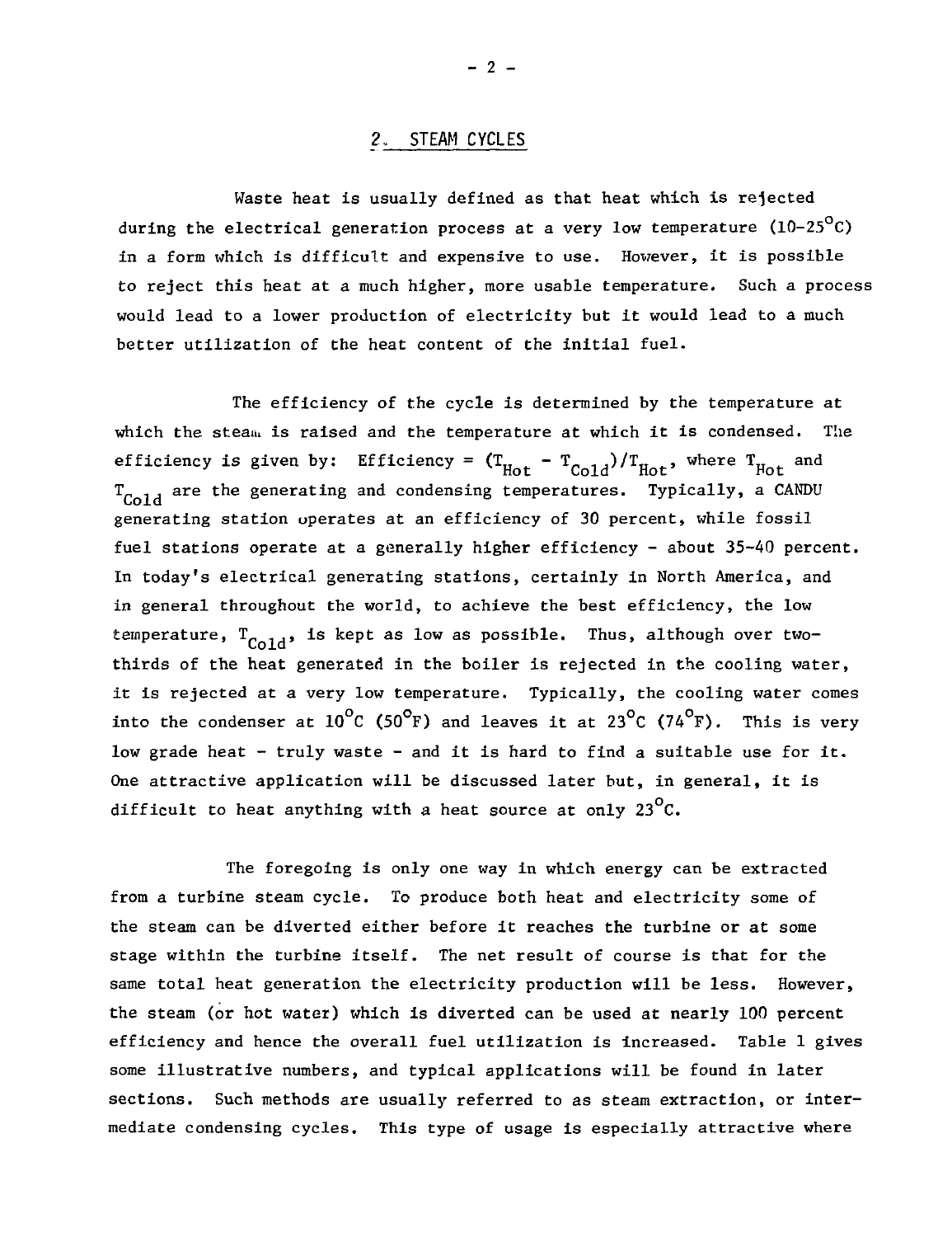## 2. STEAM CYCLES

Waste heat is usually defined as that heat which is rejected during the electrical generation process at a very low temperature (10-25 $^{\circ}$ C) in a form which is difficult and expensive to use. However, it is possible to reject this heat at a much higher, more usable temperature. Such a process would lead to a lower production of electricity but it would lead to a much better utilization of the heat content of the initial fuel.

The efficiency of the cycle is determined by the temperature at which the steam is raised and the temperature at which it is condensed. The efficiency is given by: Efficiency =  $(T_{Hot} - T_{ً_{Coll}})/T_{Hot}$ , where  $T_{Hot}$  and not cold not rot<br>temperatures Tupically a C  $t_{\text{Gold}}$  are the generating and condensing temperatures. Typically, a CANDU generating station operates at an efficiency of 30 percent, while fossil fuel stations operate at a generally higher efficiency - about  $35-40$  percent. In today's electrical generating stations, certainly in North America, and in general throughout the world, to achieve the best efficiency, the low temperature,  $T_{\text{Gold}}$ , is kept as low as possible. Thus, although over twothirds of the heat generated in the boiler is rejected in the cooling water, it is rejected at a very low temperature. Typically, the cooling water comes into the condenser at  $10^{\circ}$ C (50<sup>°</sup>F) and leaves it at 23<sup>°</sup>C (74<sup>°</sup>F). This is very low grade heat - truly waste - and it is hard to find a suitable use for it. One attractive application will be discussed later but, in general, it is difficult to heat anything with a heat source at only  $23^{\circ}$ C.

The foregoing is only one way in which energy can be extracted from a turbine steam cycle. To produce both heat and electricity some of the steam can be diverted either before it reaches the turbine or at some stage within the turbine itself. The net result of course is that for the same total heat generation the electricity production will be less. However, the steam (or hot water) which is diverted can be used at nearly 100 percent efficiency and hence the overall fuel utilization is increased. Table 1 gives some illustrative numbers, and typical applications will be found in later sections. Such methods are usually referred to as steam extraction, or intermediate condensing cycles. This type of usage is especially attractive where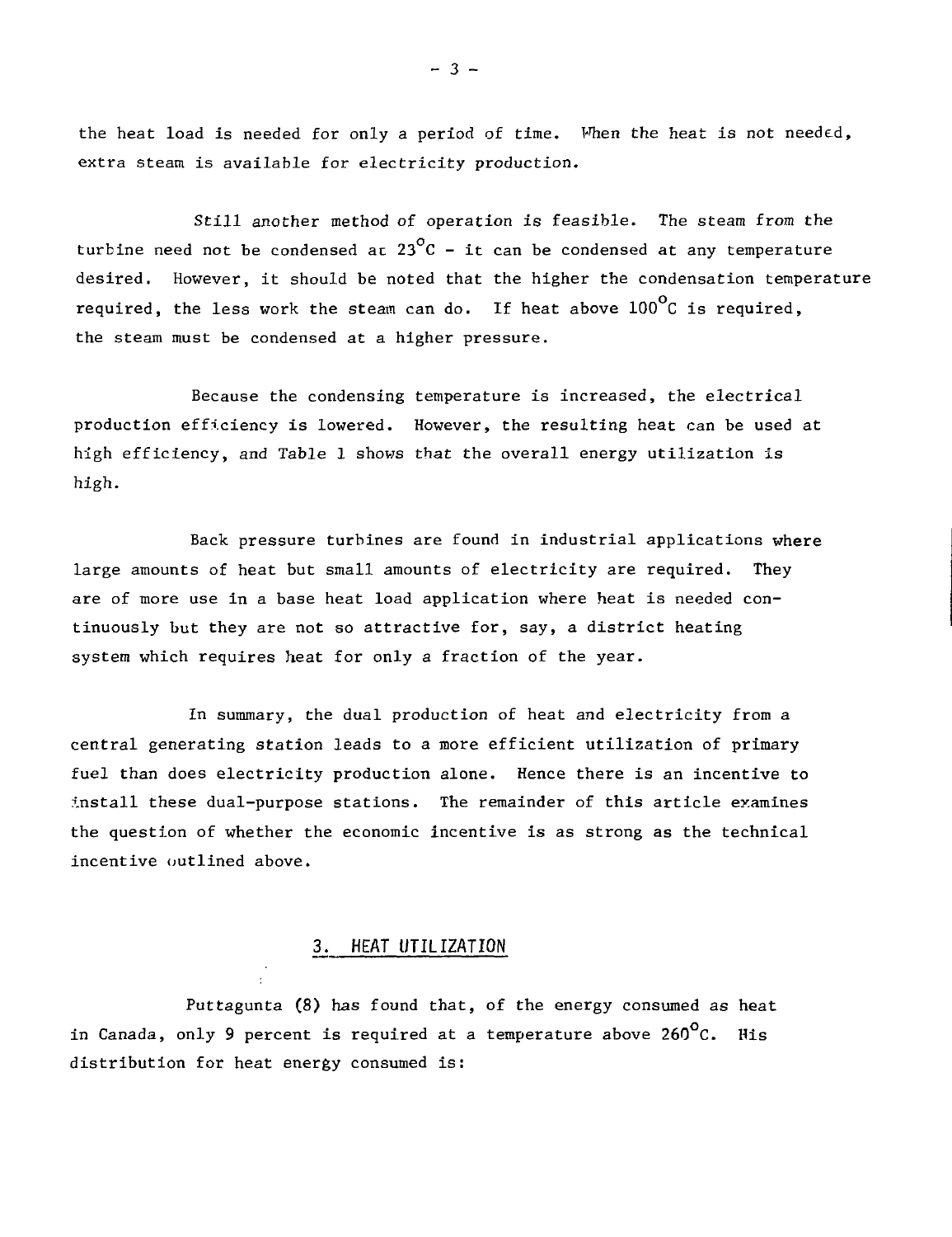the heat load is needed for only a period of time. When the heat is not needed, extra steam is available for electricity production.

Still another method of operation is feasible. The steam from the turbine need not be condensed at  $23^{\circ}$ C - it can be condensed at any temperature desired. However, it should be noted that the higher the condensation temperature required, the less work the steam can do. If heat above  $100^{\circ}$ C is required. the steam must be condensed at a higher pressure.

Because the condensing temperature is increased, the electrical production efficiency is lowered. However, the resulting heat can be used at high efficiency, and Table 1 shows that the overall energy utilization is high.

Back pressure turbines are found in industrial applications where large amounts of heat but small amounts of electricity are required. They are of more use in a base heat load application where heat is needed continuously but they are not so attractive for, say, a district heating system which requires heat for only a fraction of the year.

In summary, the dual production of heat and electricity from a central generating station leads to a more efficient utilization of primary fuel than does electricity production alone. Hence there is an incentive to install these dual-purpose stations. The remainder of this article examines the question of whether the economic incentive is as strong as the technical incentive outlined above.

## 3. HEAT UTILIZATION

Puttagunta (8) has found that, of the energy consumed as heat in Canada, only 9 percent is required at a temperature above 260 $^{\circ}$ C. His distribution for heat energy consumed is:

 $- 3 -$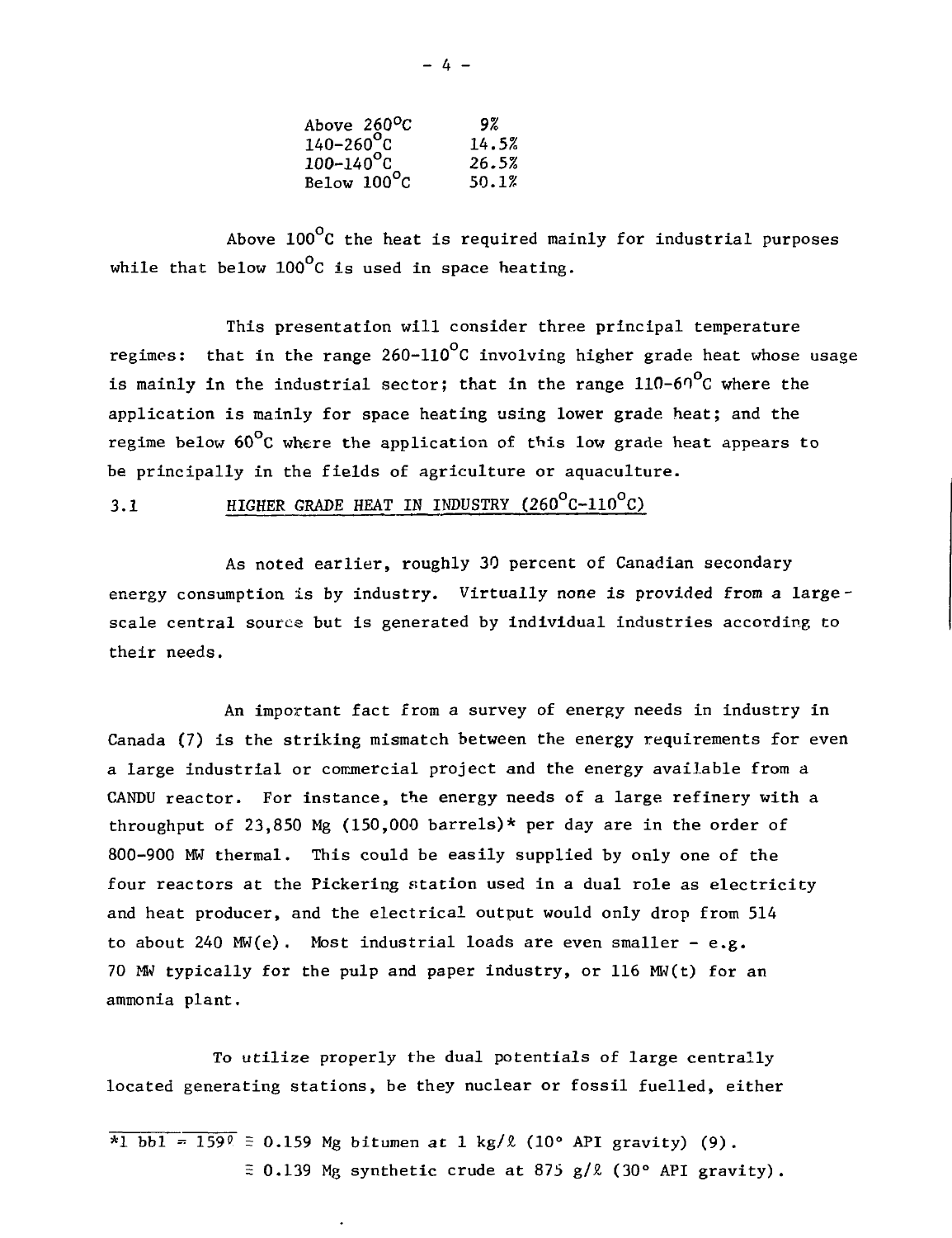| Above $260^{\circ}$ C      | 9%    |
|----------------------------|-------|
| $140 - 260$ <sup>o</sup> c | 14.5% |
| $100 - 140$ <sup>o</sup> C | 26.5% |
| Below 100°C                | 50.1% |

Above 100°C the heat is required mainly for industrial purposes while that below  $100^{\circ}$ C is used in space heating.

This presentation will consider three principal temperature regimes: that in the range  $260-110^{\circ}$ C involving higher grade heat whose usage is mainly in the industrial sector; that in the range  $110-60^{\circ}$ C where the application is mainly for space heating using lower grade heat; and the regime below  $60^{\circ}$ C where the application of this low grade heat appears to be principally in the fields of agriculture or aquaculture.

3.1 HIGHER GRADE HEAT IN INDUSTRY  $(260^{\circ}$ C-110<sup>o</sup>C)

As noted earlier, roughly 30 percent of Canadian secondary energy consumption is by industry. Virtually none is provided from a largescale central source but is generated by individual industries according to their needs.

An important fact from a survey of energy needs in industry in Canada (7) is the striking mismatch between the energy requirements for even a large industrial or commercial project and the energy available from a CANDU reactor. For instance, the energy needs of a large refinery with a throughput of 23,850 Mg (150,000 barrels)\* per day are in the order of 800-900 MW thermal. This could be easily supplied by only one of the four reactors at the Pickering station used in a dual role as electricity and heat producer, and the electrical output would only drop from 514 to about 240  $MW(e)$ . Most industrial loads are even smaller  $-e.g.$ 70 MW typically for the pulp and paper industry, or 116 MW(t) for an ammonia plant.

To utilize properly the dual potentials of large centrally located generating stations, be they nuclear or fossil fuelled, either

 $\overline{x_1 \text{ bb1}} = 159$  = 0.159 Mg bitumen at 1 kg/ $\ell$  (10° API gravity) (9).  $\approx 0.139$  Mg synthetic crude at 875 g/ $\ell$  (30° API gravity).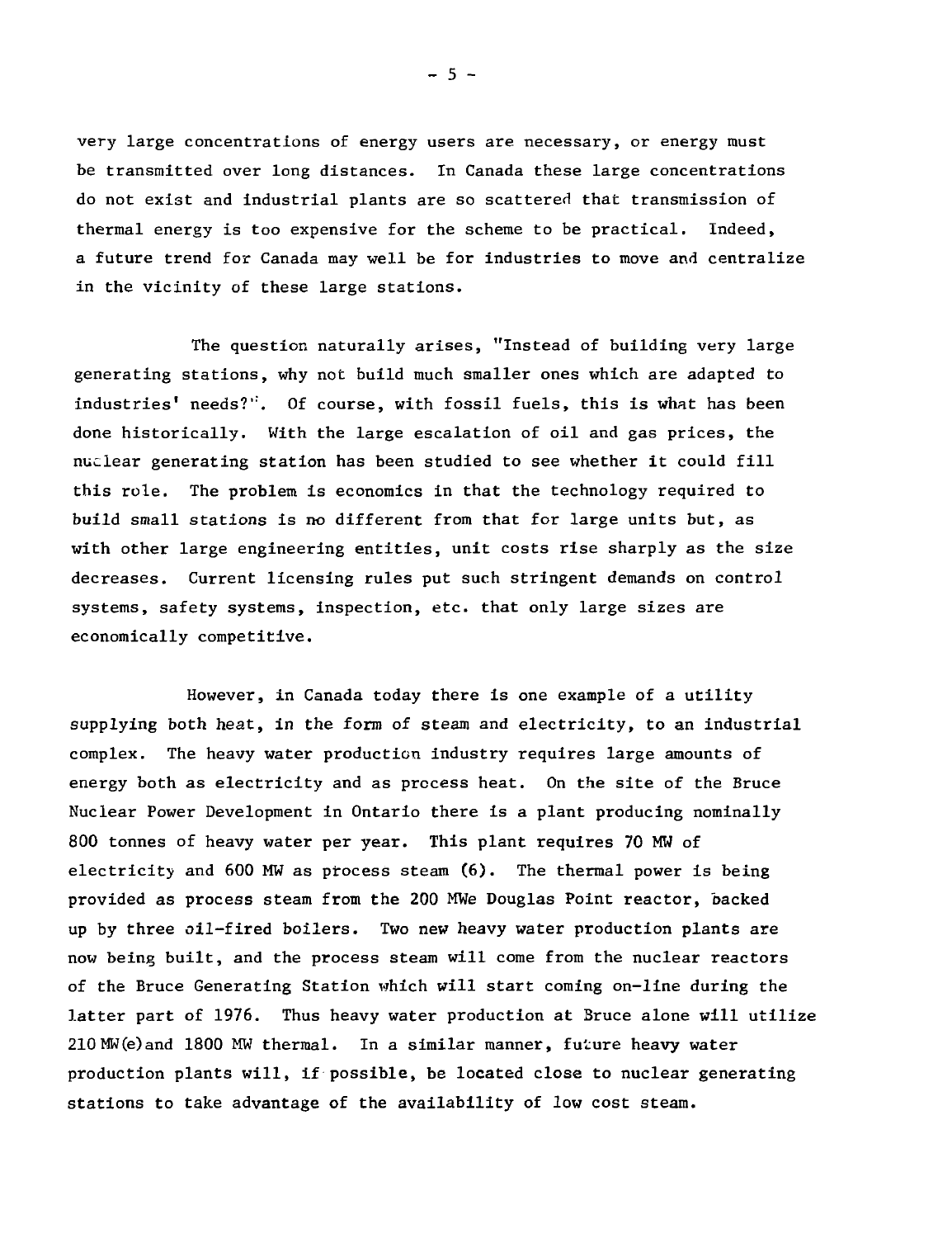very large concentrations of energy users are necessary, or energy must be transmitted over long distances. In Canada these large concentrations do not exist and industrial plants are so scattered that transmission of thermal energy is too expensive for the scheme to be practical. Indeed, a future trend for Canada may well be for industries to move and centralize in the vicinity of these large stations.

The question naturally arises, "Instead of building very large generating stations, why not build much smaller ones which are adapted to industries' needs?". Of course, with fossil fuels, this is what has been done historically. With the large escalation of oil and gas prices, the nuclear generating station has been studied to see whether it could fill this role. The problem is economics in that the technology required to build small stations is no different from that for large units but, as with other large engineering entities, unit costs rise sharply as the size decreases. Current licensing rules put such stringent demands on control systems, safety systems, inspection, etc. that only large sizes are economically competitive.

However, in Canada today there is one example of a utility supplying both heat, in the form of steam and electricity, to an industrial complex. The heavy water production industry requires large amounts of energy both as electricity and as process heat. On the site of the Bruce Nuclear Power Development in Ontario there is a plant producing nominally 800 tonnes of heavy water per year. This plant requires 70 MW of electricity and  $600$  MW as process steam  $(6)$ . The thermal power is being provided as process steam from the 200 MWe Douglas Point reactor, backed up by three oil-fired boilers. Two new heavy water production plants are now being built, and the process steam will come from the nuclear reactors of the Bruce Generating Station which will start coming on-line during the latter part of 1976. Thus heavy water production at Bruce alone will utilize 210MW(e)and 1800 MW thermal. In a similar manner, future heavy water production plants will, if possible, be located close to nuclear generating stations to take advantage of the availability of low cost steam.

 $-5 -$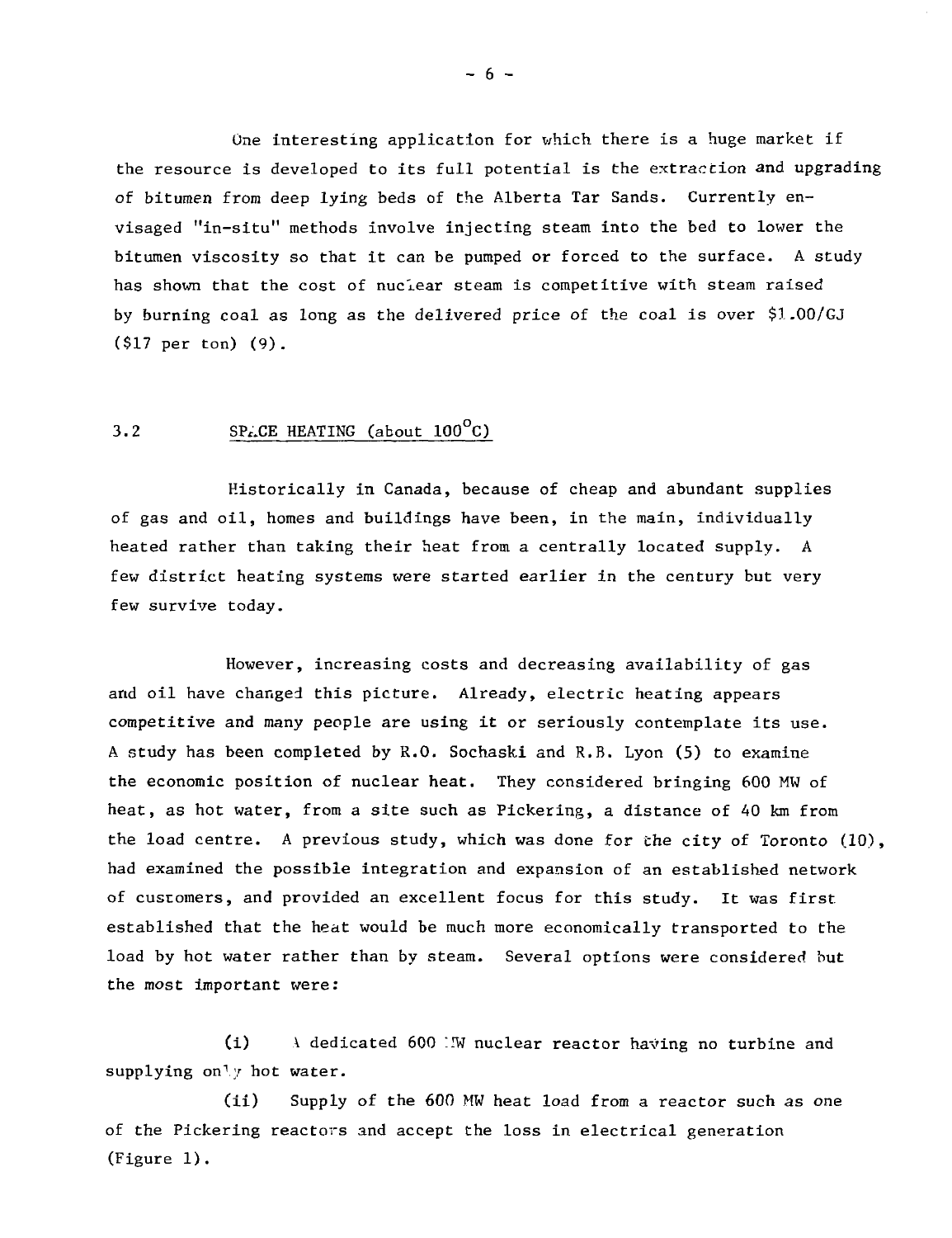One interesting application for which there is a huge market if the resource is developed to its full potential is the extraction and upgrading of bitumen from deep lying beds of the Alberta Tar Sands. Currently envisaged "In-situ" methods involve injecting steam into the bed to lower the bitumen viscosity so that it can be pumped or forced to the surface. A study has shown that the cost of nuclear steam is competitive with steam raised by burning coal as long as the delivered price of the coal is over \$1.00/GJ (\$17 per ton) (9).

## 3.2 SPACE HEATING (about  $100^{\circ}$ C)

Historically in Canada, because of cheap and abundant supplies of gas and oil, homes and buildings have been, in the main, individually heated rather than taking their heat from a centrally located supply. A few district heating systems were started earlier in the century but very few survive today.

However, increasing costs and decreasing availability of gas and oil have changed this picture. Already, electric heating appears competitive and many people are using it or seriously contemplate its use. A study has been completed by R.O. Sochaski and R.B. Lyon (5) to examine the economic position of nuclear heat. They considered bringing 600 MW of heat, as hot water, from a site such as Pickering, a distance of 40 km from the load centre. A previous study, which was done for the city of Toronto (10), had examined the possible integration and expansion of an established network of customers, and provided an excellent focus for this study. It was first established that the heat would be much more economically transported to the load by hot water rather than by steam. Several options were considered but the most important were:

(i) A dedicated 600 "IW nuclear reactor having no turbine and supplying only hot water.

(ii) Supply of the 600 MW heat load from a reactor such as one of the Pickering reactors and accept the loss in electrical generation (Figure 1).

 $- 6 -$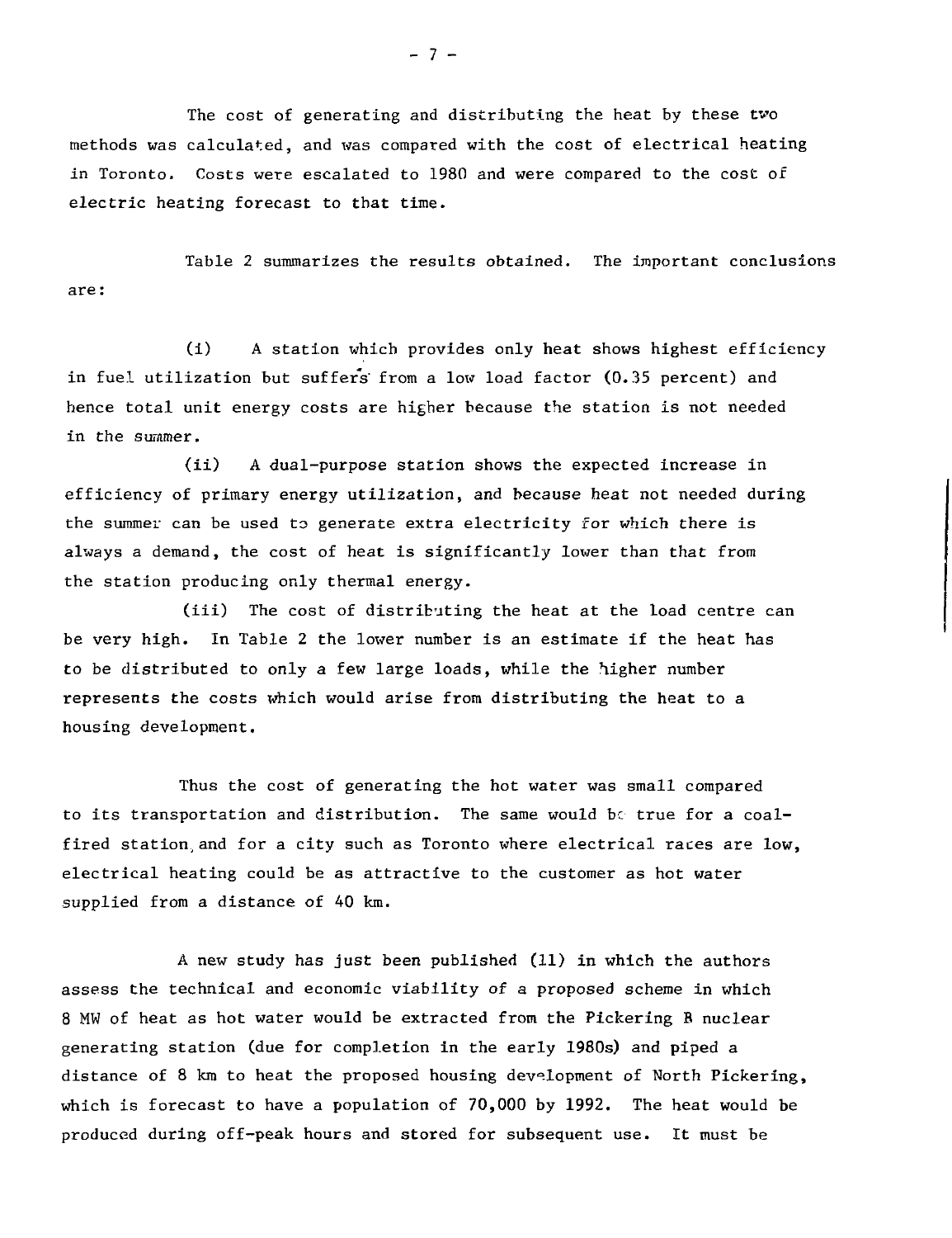The cost of generating and distributing the heat by these two methods was calculated, and was compared with the cost of electrical heating in Toronto. Costs were escalated to 1980 and were compared to the cost of electric heating forecast to that time.

Table 2 summarizes the results obtained. The important conclusions are:

(i) A station which provides only heat shows highest efficiency in fuel utilization but suffers' from a low load factor (0.35 percent) and hence total unit energy costs are higher because the station is not needed in the summer.

(ii) A dual-purpose station shows the expected increase in efficiency of primary energy utilization, and because heat not needed during the summer can be used to generate extra electricity for which there is always a demand, the cost of heat is significantly lower than that from the station producing only thermal energy.

(iii) The cost of distributing the heat at the load centre can be very high. In Table 2 the lower number is an estimate if the heat has to be distributed to only a few large loads, while the higher number represents the costs which would arise from distributing the heat to a housing development.

Thus the cost of generating the hot water was small compared to its transportation and distribution. The same would be true for a coalfired station,and for a city such as Toronto where electrical races are low, electrical heating could be as attractive to the customer as hot water supplied from a distance of 40 km.

A new study has just been published (11) in which the authors assess the technical and economic viability of a proposed scheme in which 8 MW of heat as hot water would be extracted from the Pickering B nuclear generating station (due for completion in the early 1980s) and piped a distance of 8 km to heat the proposed housing development of North Pickering, which is forecast to have a population of 70,000 by 1992. The heat would be produced during off-peak hours and stored for subsequent use. It must be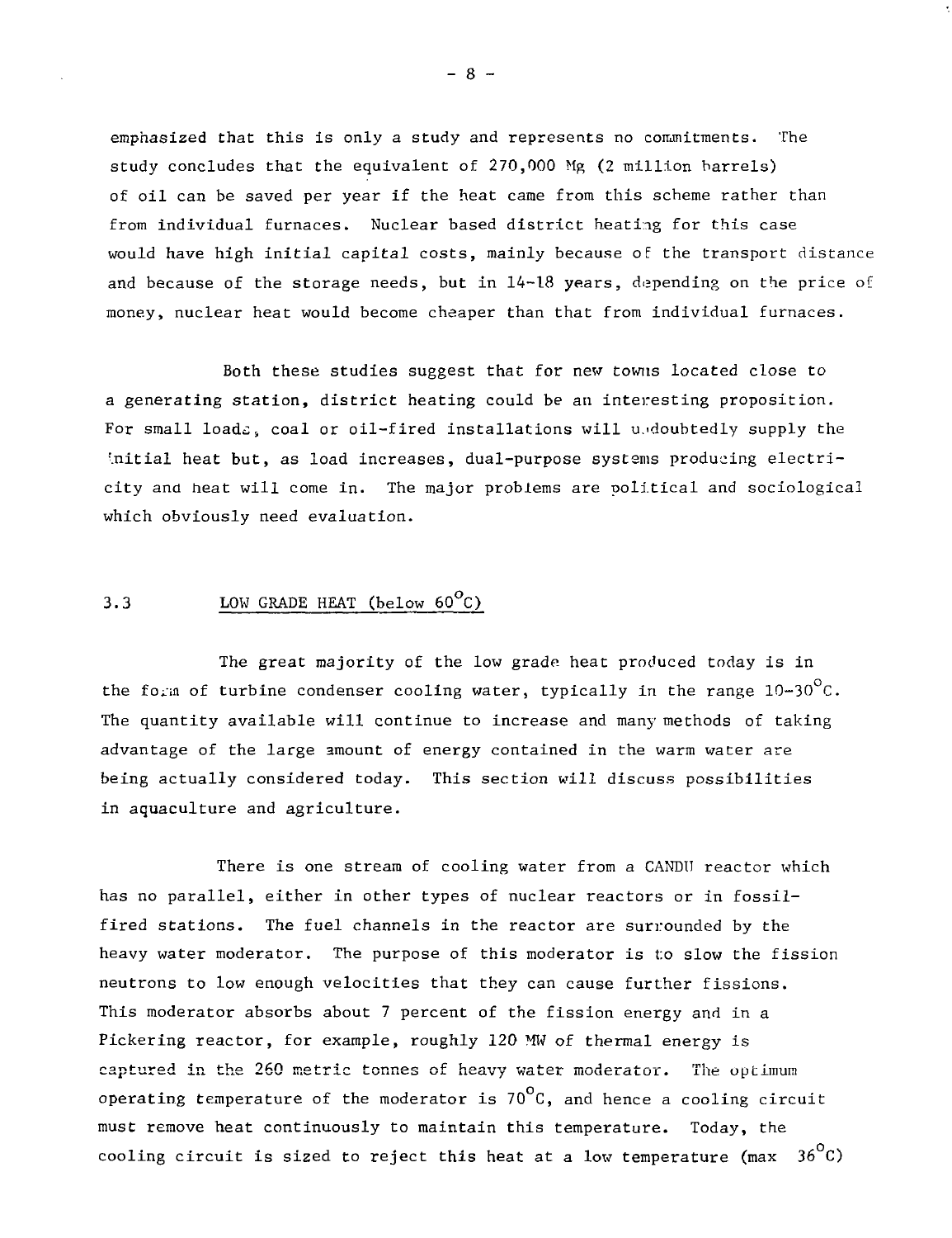emphasized that this is only a study and represents no commitments. The study concludes that the equivalent of 270,000 Mg (2 million barrels) of oil can be saved per year if the heat came from this scheme rather than from individual furnaces. Nuclear based district heating for this case would have high initial capital costs, mainly because of the transport distance and because of the storage needs, but in 14-18 years, depending on the price of money, nuclear heat would become cheaper than that from individual furnaces.

Both these studies suggest that for new towns located close to a generating station, district heating could be an interesting proposition. For small loads, coal or oil-fired installations will undoubtedly supply the initial heat but, as load increases, dual-purpose systems producing electricity and heat will come in. The major problems are political and sociological which obviously need evaluation.

# 3.3 LOW GRADE HEAT (below 60<sup>°</sup>C)

The great majority of the low grade heat produced today is in the form of turbine condenser cooling water, typically in the range  $10-30^{\circ}\text{C}$ . The quantity available will continue to increase and many methods of taking advantage of the large amount of energy contained in the warm water are being actually considered today. This section will discuss possibilities in aquaculture and agriculture.

There is one stream of cooling water from a CANDII reactor which has no parallel, either in other types of nuclear reactors or in fossilfired stations. The fuel channels in the reactor are surrounded by the heavy water moderator. The purpose of this moderator is to slow the fission neutrons to low enough velocities that they can cause further fissions. This moderator absorbs about 7 percent of the fission energy and in a Pickering reactor, for example, roughly 120 MW of thermal energy is captured in the 260 metric tonnes of heavy water moderator. The optimum operating temperature of the moderator is 70 $^{\circ}$ C, and hence a cooling circuit must remove heat continuously to maintain this temperature. Today, the cooling circuit is sized to reject this heat at a low temperature (max  $36^{\circ}$ C)

 $-8-$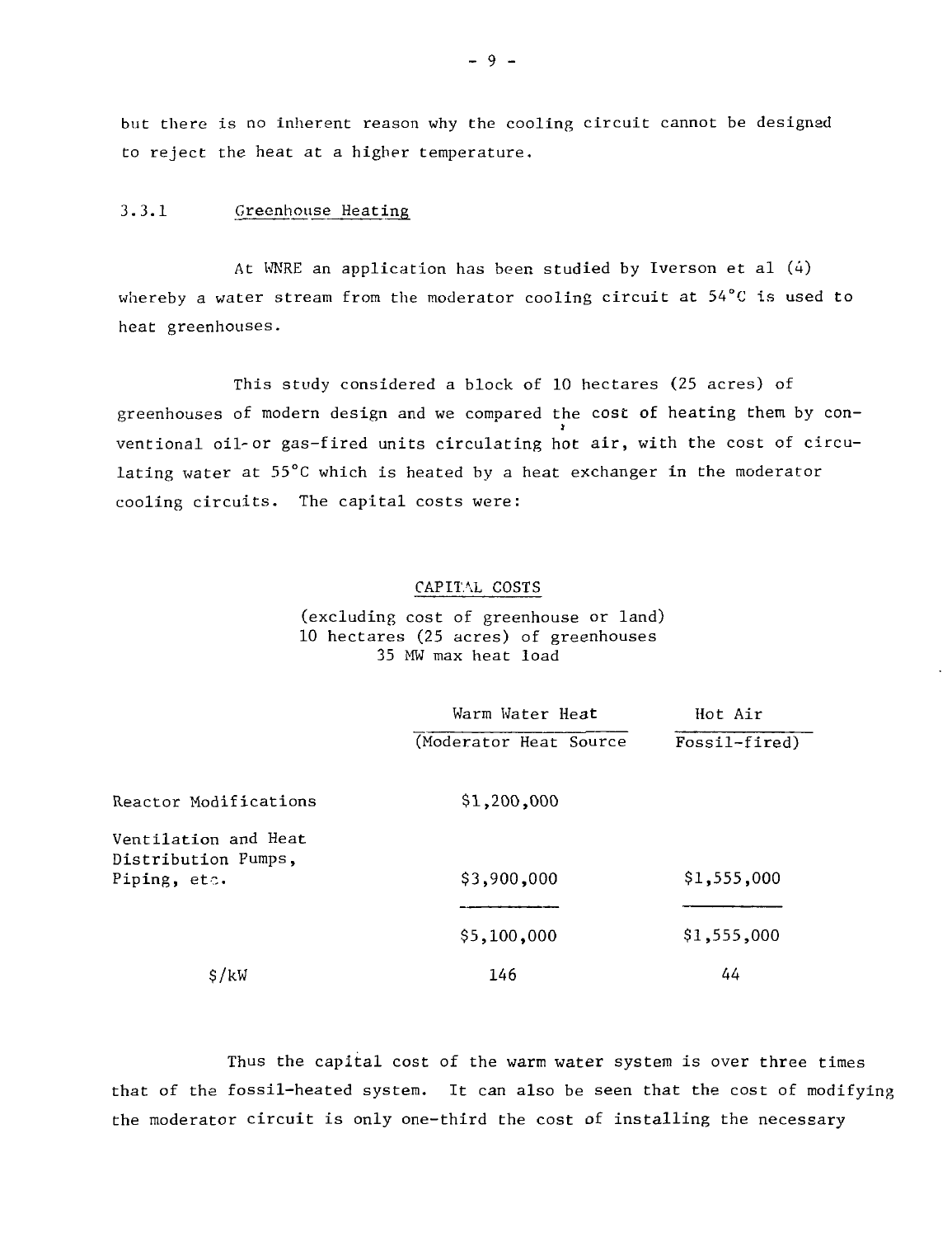but there is no inherent reason why the cooling circuit cannot be designed to reject the heat at a higher temperature.

#### 3.3.1 Greenhouse Heating

At WNRE an application has been studied by Iverson et al (4) whereby a water stream from the moderator cooling circuit at 54°C is used to heat greenhouses.

This study considered a block of 10 hectares (25 acres) of greenhouses of modern design and we compared the cost of heating them by conventional oil-or gas-fired units circulating hot air, with the cost of circulating water at  $55^{\circ}$ C which is heated by a heat exchanger in the moderator cooling circuits. The capital costs were: cooling circuits. The capital costs were:  $\mathcal{L}$ 

#### CAPITAL COSTS

(excluding cost of greenhouse or land) 10 hectares (25 acres) of greenhouses 35 MW max heat load

|                                                             | Warm Water Heat         | Hot Air       |  |
|-------------------------------------------------------------|-------------------------|---------------|--|
|                                                             | (Moderator Heat Source) | Fossil-fired) |  |
| Reactor Modifications                                       | \$1,200,000             |               |  |
| Ventilation and Heat<br>Distribution Pumps,<br>Piping, etc. | \$3,900,000             | \$1,555,000   |  |
|                                                             | \$5,100,000             | \$1,555,000   |  |
| \$/kW                                                       | 146                     | 44            |  |

Thus the capital cost of the warm water system is over three times that of the fossil-heated system. It can also be seen that the cost of modifying the moderator circuit is only one-third the cost of installing the necessary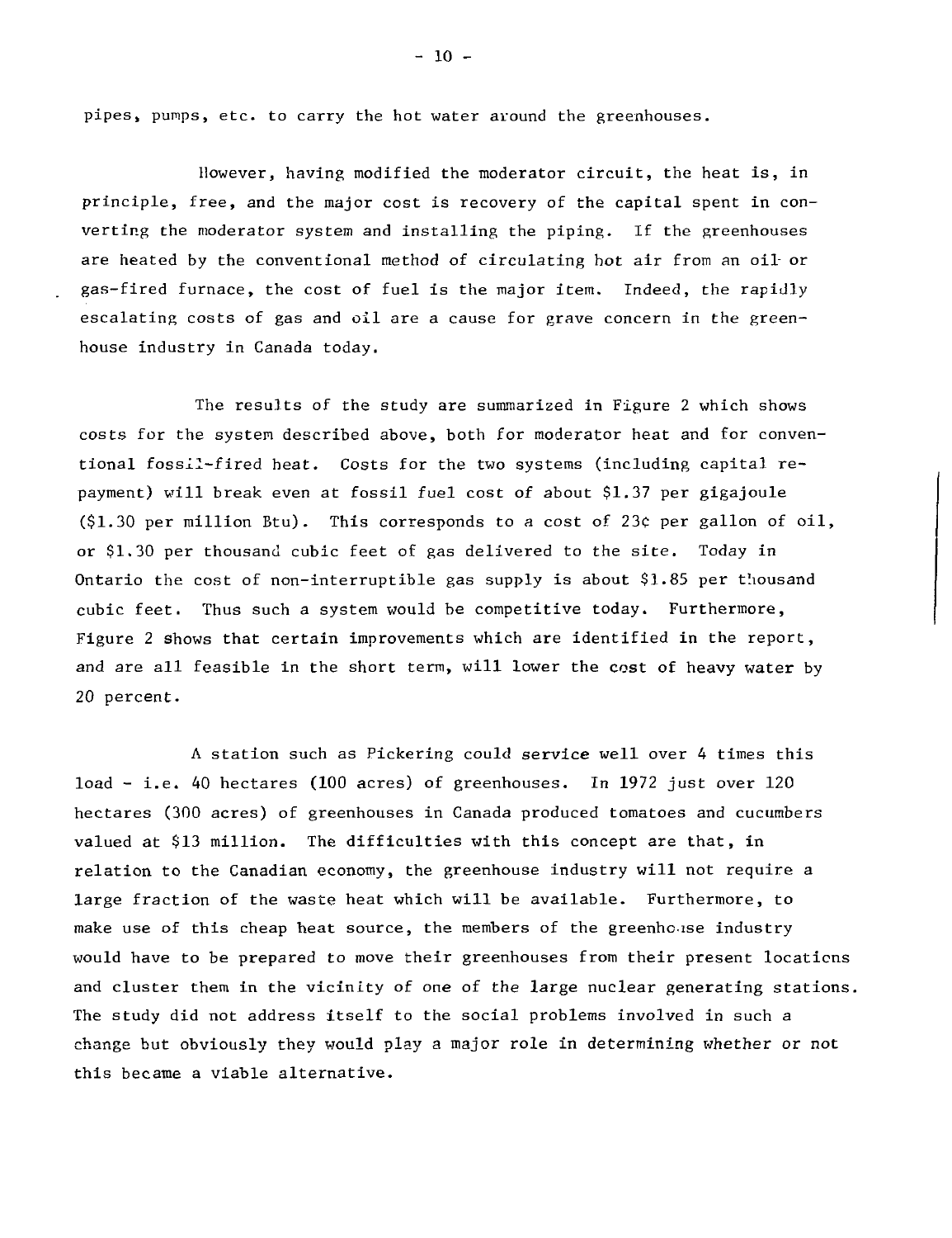pipes, pumps, etc. to carry the hot water around the greenhouses.

However, having modified the moderator circuit, the heat is, in principle, free, and the major cost is recovery of the capital spent in converting the moderator system and installing the piping. If the greenhouses are heated by the conventional method of circulating hot air from an oil- or gas-fired furnace, the cost of fuel is the major item. Indeed, the rapidly escalating costs of gas and oil are a cause for grave concern in the greenhouse industry in Canada today.

The results of the study are summarized in Figure 2 which shows costs for the system described above, both for moderator heat and for conventional fossil-fired heat. Costs for the two systems (including capital repayment) will break even at fossil fuel cost of about \$1.37 per gigajoule (\$1.30 per million Btu). This corresponds to a cost of 23c per gallon of oil, or \$1.30 per thousand cubic feet of gas delivered to the site. Today in Ontario the cost of non-interruptible gas supply is about \$1.85 per thousand cubic feet. Thus such a system would be competitive today. Furthermore, Figure 2 shows that certain improvements which are identified in the report, and are all feasible in the short term, will lower the cost of heavy water by 20 percent.

A station such as Pickering could service well over 4 times this load - i.e. 40 hectares (100 acres) of greenhouses. In 1972 just over 120 hectares (300 acres) of greenhouses in Canada produced tomatoes and cucumbers valued at \$13 million. The difficulties with this concept are that, in relation to the Canadian economy, the greenhouse industry will not require a large fraction of the waste heat which will be available. Furthermore, to make use of this cheap heat source, the members of the greenholise industry would have to be prepared to move their greenhouses from their present locations and cluster them in the vicinity of one of the large nuclear generating stations. The study did not address itself to the social problems involved in such a change but obviously they would play a major role in determining whether or not this became a viable alternative.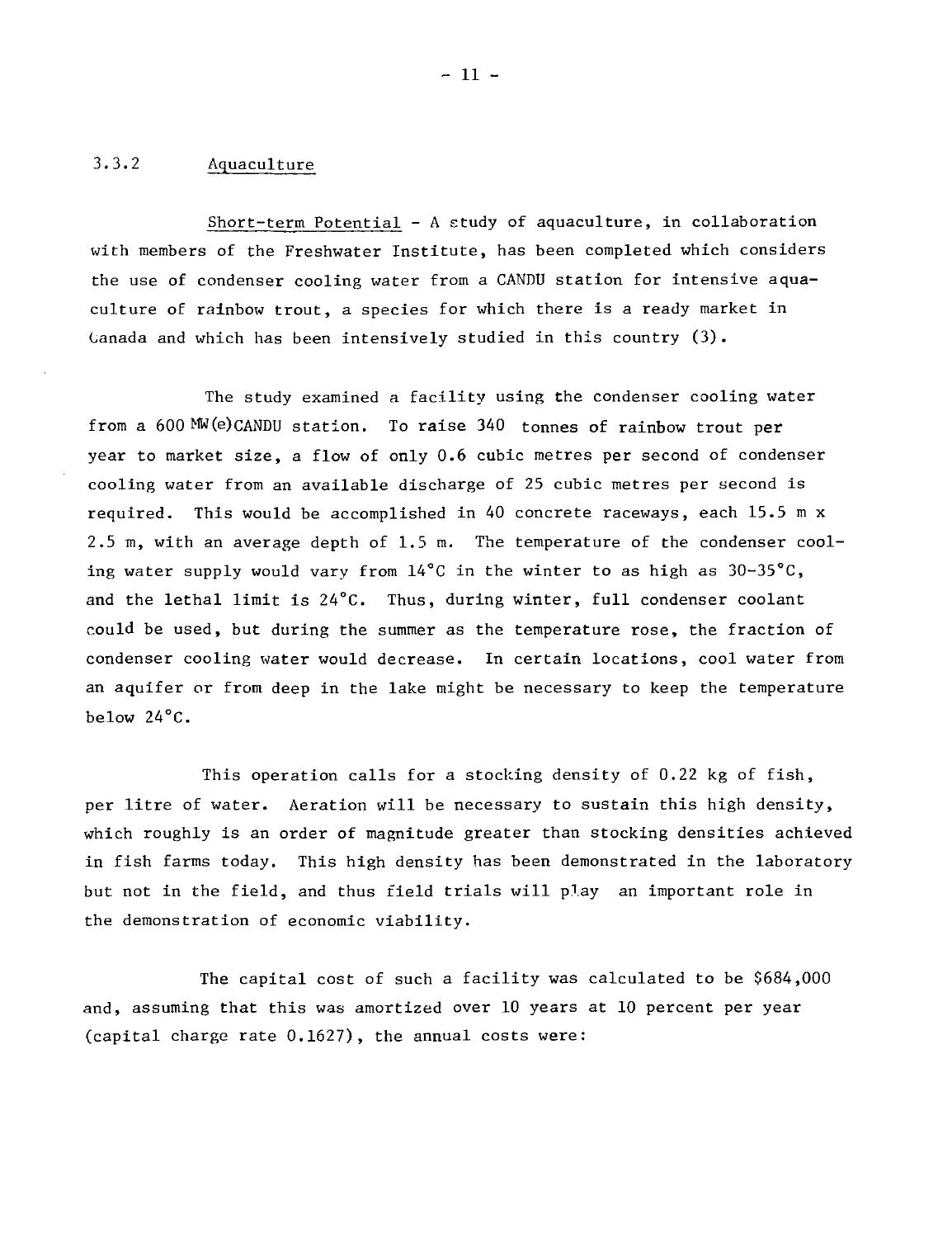## 3.3.2 Aquaculture

Short-term Potential - A study of aquaculture, in collaboration with members of the Freshwater Institute, has been completed which considers the use of condenser cooling water from a CANDU station for intensive aquaculture of rainbow trout, a species for which there is a ready market in Canada and which has been intensively studied in this country (3).

The study examined a facility using the condenser cooling water from a 600 MW(e)CANDU station. To raise 340 tonnes of rainbow trout per year to market size, a flow of only 0.6 cubic metres per second of condenser cooling water from an available discharge of 25 cubic metres per second is required. This would be accomplished in 40 concrete raceways, each 15.5 m x 2.5 m, with an average depth of 1.5 m. The temperature of the condenser cooling water supply would vary from  $14^{\circ}$ C in the winter to as high as  $30-35^{\circ}$ C, and the lethal limit is 24°C. Thus, during winter, full condenser coolant could be used, but during the summer as the temperature rose, the fraction of condenser cooling water would decrease. In certain locations, cool water from an aquifer or from deep in the lake might be necessary to keep the temperature below 24°C.

This operation calls for a stocking density of 0.22 kg of fish, per litre of water. Aeration will be necessary to sustain this high density, which roughly is an order of magnitude greater than stocking densities achieved in fish farms today. This high density has been demonstrated in the laboratory but not in the field, and thus field trials will play an important role in the demonstration of economic viability.

The capital cost of such a facility was calculated to be \$684,000 and, assuming that this was amortized over 10 years at 10 percent per year (capital charge rate 0.1627), the annual costs were: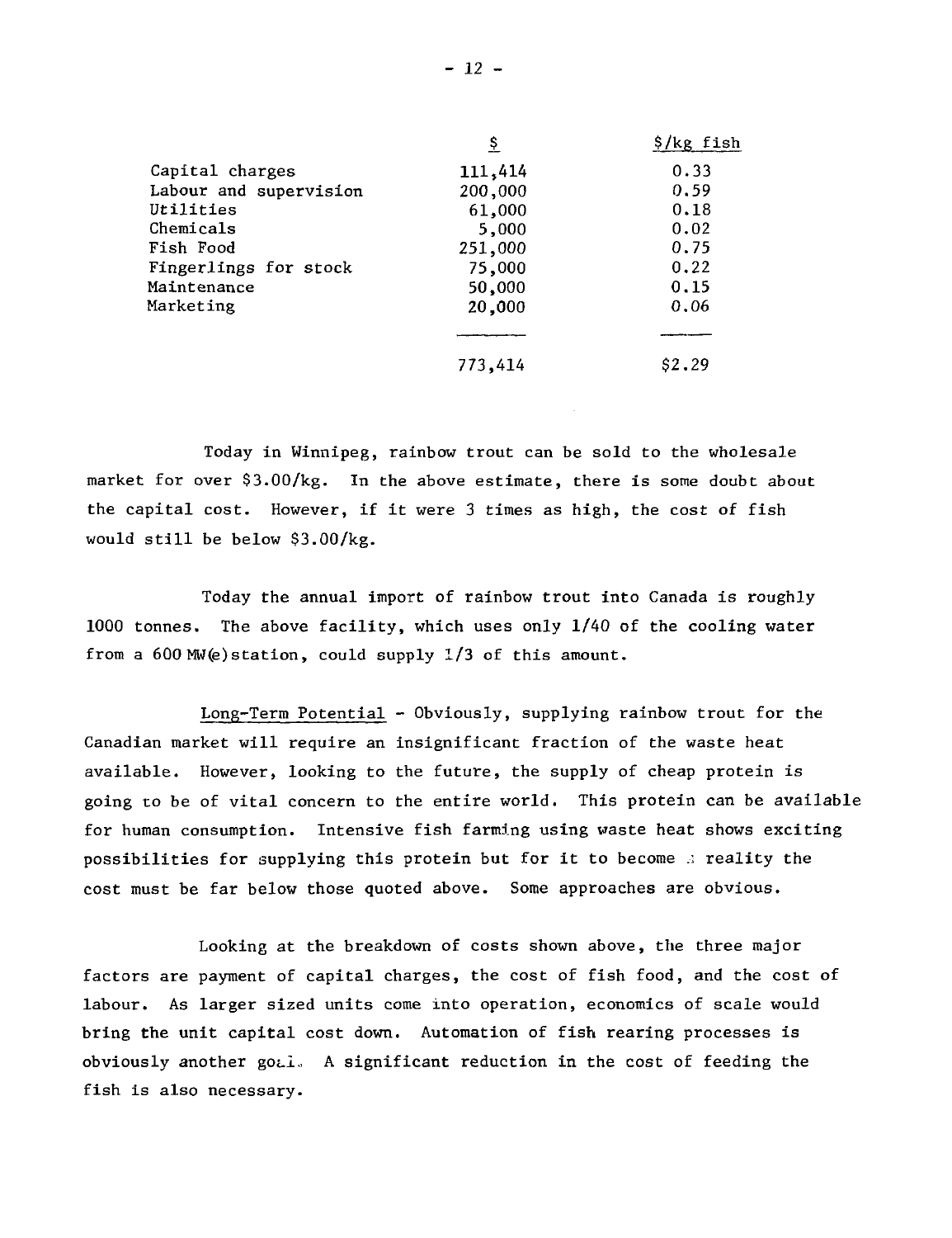|                        | Ş       | \$/kg fish |
|------------------------|---------|------------|
| Capital charges        | 111,414 | 0.33       |
| Labour and supervision | 200,000 | 0.59       |
| Utilities              | 61,000  | 0.18       |
| Chemicals              | 5,000   | 0.02       |
| Fish Food              | 251,000 | 0.75       |
| Fingerlings for stock  | 75,000  | 0.22       |
| Maintenance            | 50,000  | 0.15       |
| Marketing              | 20,000  | 0.06       |
|                        |         |            |
|                        | 773,414 | \$2.29     |

Today in Winnipeg, rainbow trout can be sold to the wholesale market for over \$3.00/kg. In the above estimate, there is some doubt about the capital cost. However, if it were 3 times as high, the cost of fish would still be below \$3.00/kg.

Today the annual import of rainbow trout into Canada is roughly 1000 tonnes. The above facility, which uses only 1/40 of the cooling water from a 600 MW(e)station, could supply 1/3 of this amount.

Long-Term Potential - Obviously, supplying rainbow trout for the Canadian market will require an insignificant fraction of the waste heat available. However, looking to the future, the supply of cheap protein is going to be of vital concern to the entire world. This protein can be available for human consumption. Intensive fish farming using waste heat shows exciting possibilities for supplying this protein but for it to become  $\Delta$  reality the cost must be far below those quoted above. Some approaches are obvious.

Looking at the breakdown of costs shown above, the three major factors are payment of capital charges, the cost of fish food, and the cost of labour. As larger sized units come into operation, economics of scale would bring the unit capital cost down. Automation of fish rearing processes is obviously another gotl. A significant reduction in the cost of feeding the fish is also necessary.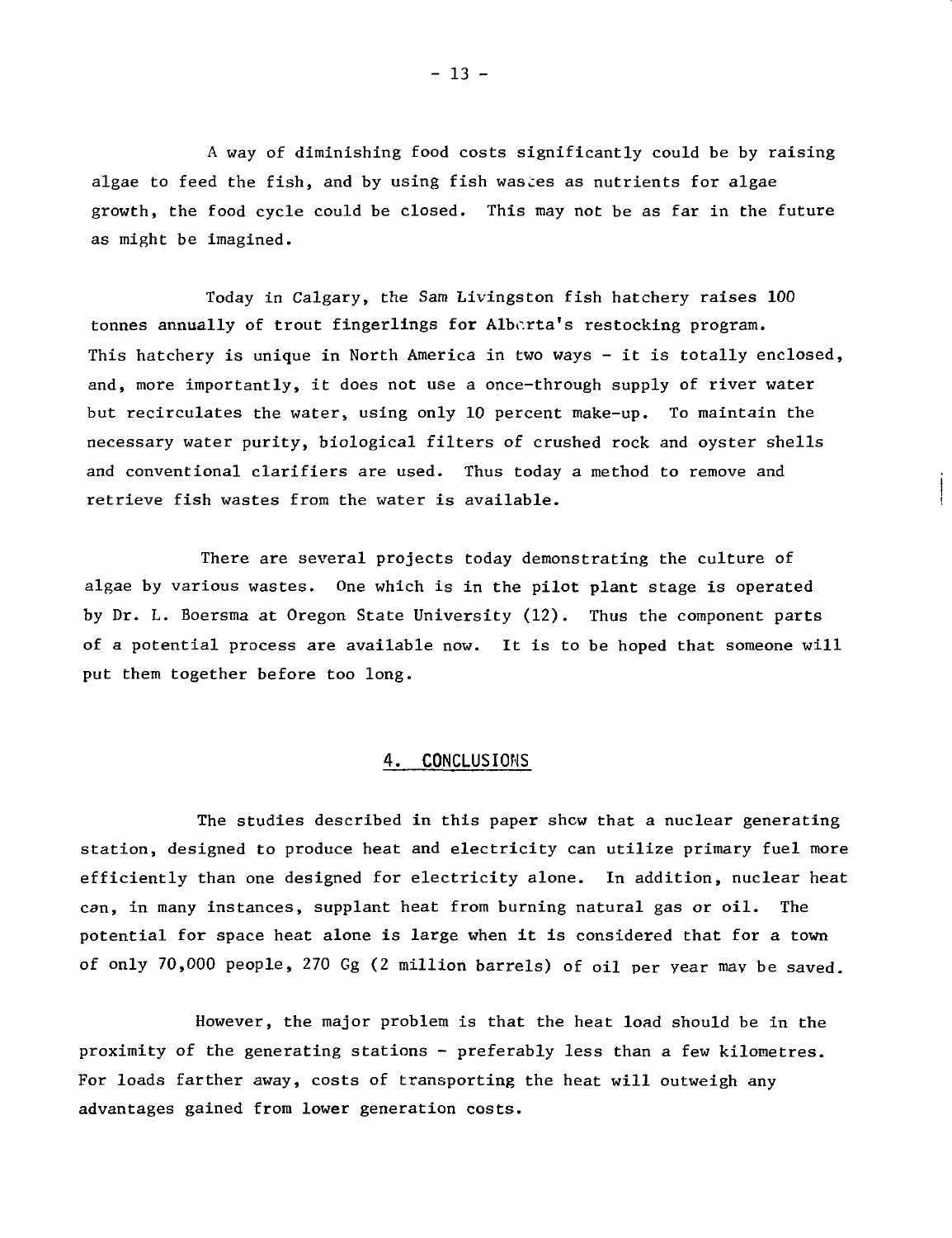A way of diminishing food costs significantly could be by raising algae to feed the fish, and by using fish wastes as nutrients for algae growth, the food cycle could be closed. This may not be as far in the future as might be imagined.

Today in Calgary, the Sam Livingston fish hatchery raises 100 tonnes annually of trout fingerlings for Alberta's restocking program. This hatchery is unique in North America in two ways - it is totally enclosed, and, more importantly, it does not use a once-through supply of river water but recirculates the water, using only 10 percent make-up. To maintain the necessary water purity, biological filters of crushed rock and oyster shells and conventional clarifiers are used. Thus today a method to remove and retrieve fish wastes from the water is available.

There are several projects today demonstrating the culture of algae by various wastes. One which is in the pilot plant stage is operated by Dr. L. Boersma at Oregon State University (12). Thus the component parts of a potential process are available now. It is to be hoped that someone will put them together before too long.

### **4. CONCLUSIONS**

The studies described in this paper shew that a nuclear generating station, designed to produce heat and electricity can utilize primary fuel more efficiently than one designed for electricity alone. In addition, nuclear heat can, in many instances, supplant heat from burning natural gas or oil. The potential for space heat alone is large when it is considered that for a town of only 70,000 people, 270 Gg (2 million barrels) of oil per year may be saved.

However, the major problem is that the heat load should be in the proximity of the generating stations - preferably less than a few kilometres. For loads farther away, costs of transporting the heat will outweigh any advantages gained from lower generation costs.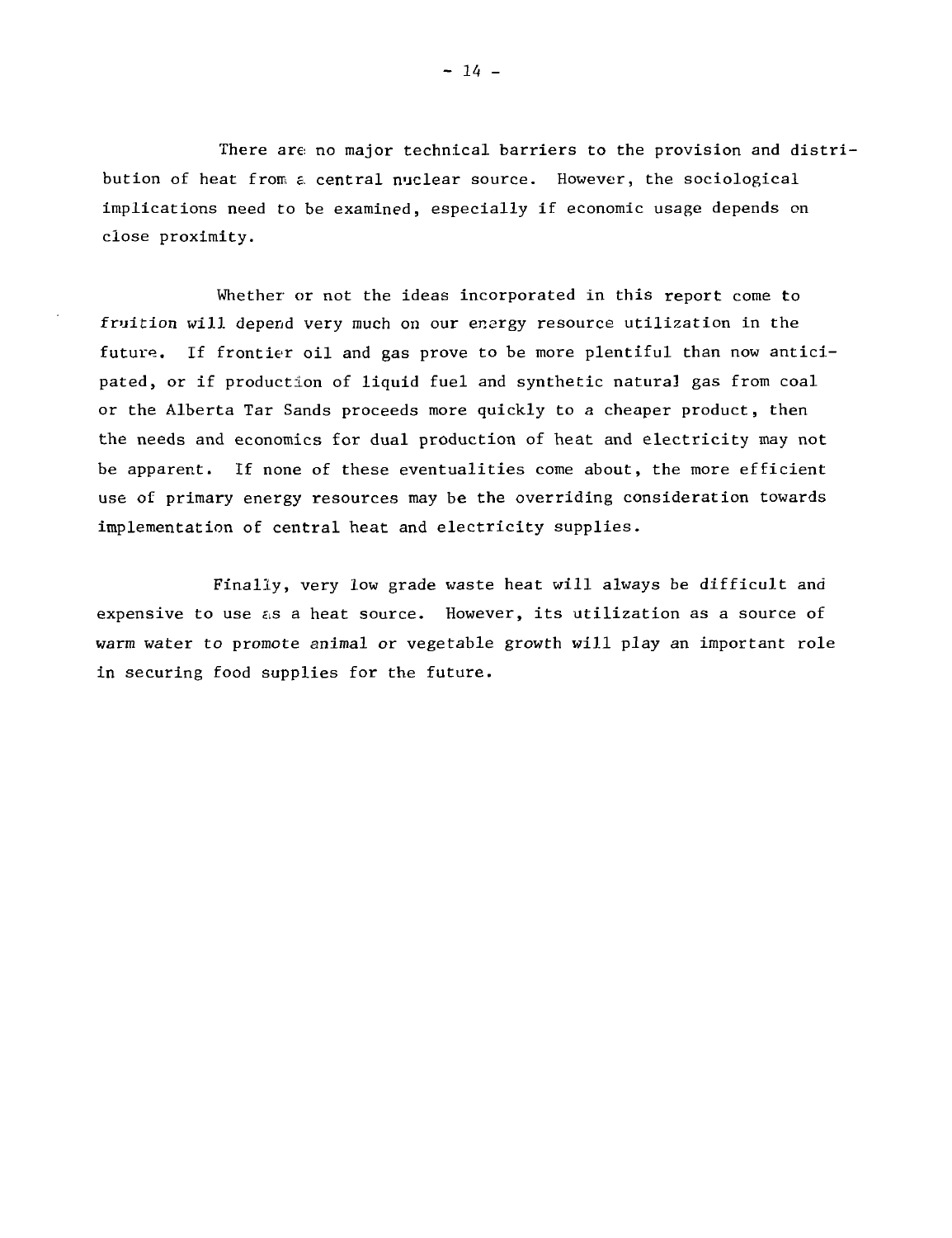There are: no major technical barriers to the provision and distribution of heat from a central nuclear source. However, the sociological implications need to be examined, especially if economic usage depends on close proximity.

Whether or not the ideas incorporated in this report come to fruition will depend very much on our energy resource utilization in the future. If frontier oil and gas prove to be more plentiful than now anticipated, or if production of liquid fuel and synthetic natural gas from coal or the Alberta Tar Sands proceeds more quickly to a cheaper product, then the needs and economics for dual production of heat and electricity may not be apparent. If none of these eventualities come about, the more efficient use of primary energy resources may be the overriding consideration towards implementation of central heat and electricity supplies.

Finally, very low grade waste heat will always be difficult and expensive to use  $\epsilon$ s a heat source. However, its utilization as a source of warm water to promote animal or vegetable growth will play an important role in securing food supplies for the future.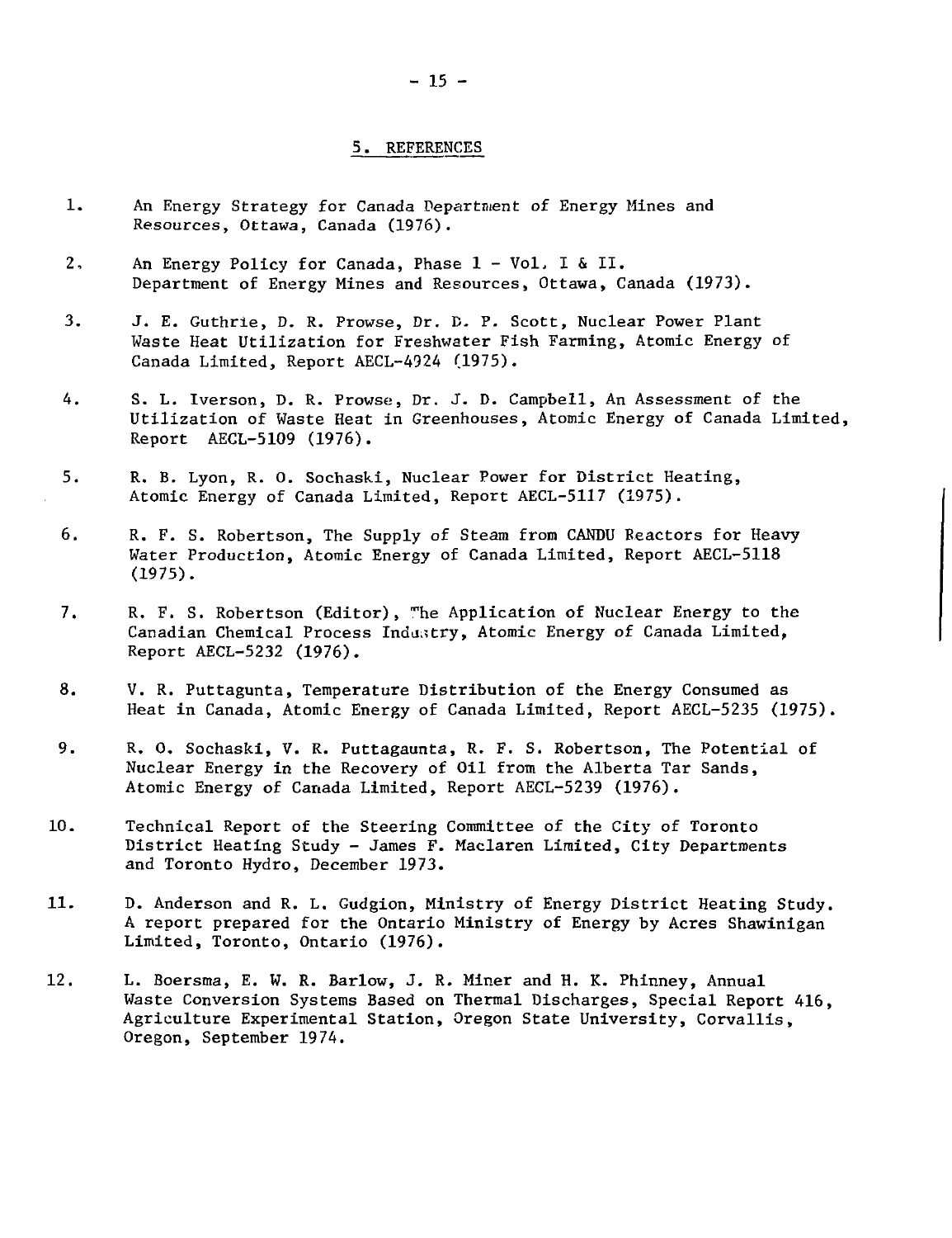#### 5. REFERENCES

- 1. An Energy Strategy for Canada Department of Energy Mines and Resources, Ottawa, Canada (1976).
- 2. An Energy Policy for Canada, Phase 1 Vol, I & II. Department of Energy Mines and Resources, Ottawa, Canada (1973).
- 3. J. E. Guthrie, D. R. Prowse, Dr. D. P. Scott, Nuclear Power Plant Waste Heat Utilization for Freshwater Fish Farming, Atomic Energy of Canada Limited, Report AECL-4924 (1975).
- 4. S. L. Iverson, D. R. Prowse, Dr. J. D. Campbell, An Assessment of the Utilization of Waste Heat in Greenhouses, Atomic Energy of Canada Limited, Report AECL-5109 (1976).
- 5. R. B. Lyon, R. 0. Sochaski, Nuclear Power for District Heating, Atomic Energy of Canada Limited, Report AECL-5117 (1975).
- 6. R. F. S. Robertson, The Supply of Steam from CANDU Reactors for Heavy Water Production, Atomic Energy of Canada Limited, Report AECL-5118 (1975).
- 7. R. F. S. Robertson (Editor), <sup>m</sup>he Application of Nuclear Energy to the Canadian Chemical Process Industry, Atomic Energy of Canada Limited, Report AECL-5232 (1976).
- 8. V. R. Puttagunta, Temperature Distribution of the Energy Consumed as Heat in Canada, Atomic Energy of Canada Limited, Report AECL-5235 (1975).
- 9. R. O. Sochaski, V. R. Puttagaunta, R. F. S. Robertson, The Potential of Nuclear Energy in the Recovery of Oil from the Alberta Tar Sands, Atomic Energy of Canada Limited, Report AECL-5239 (1976).
- 10. Technical Report of the Steering Committee of the City of Toronto District Heating Study - James F. Maclaren Limited, City Departments and Toronto Hydro, December 1973.
- 11. D. Anderson and R. L. Gudgion, Ministry of Energy District Heating Study. A report prepared for the Ontario Ministry of Energy by Acres Shawinigan Limited, Toronto, Ontario (1976).
- 12. L. Boersma, E. W. R. Barlow, J. R. Miner and H. K. Phinney, Annual Waste Conversion Systems Based on Thermal Discharges, Special Report 416, Agriculture Experimental Station, Oregon State University, Corvallis, Oregon, September 1974.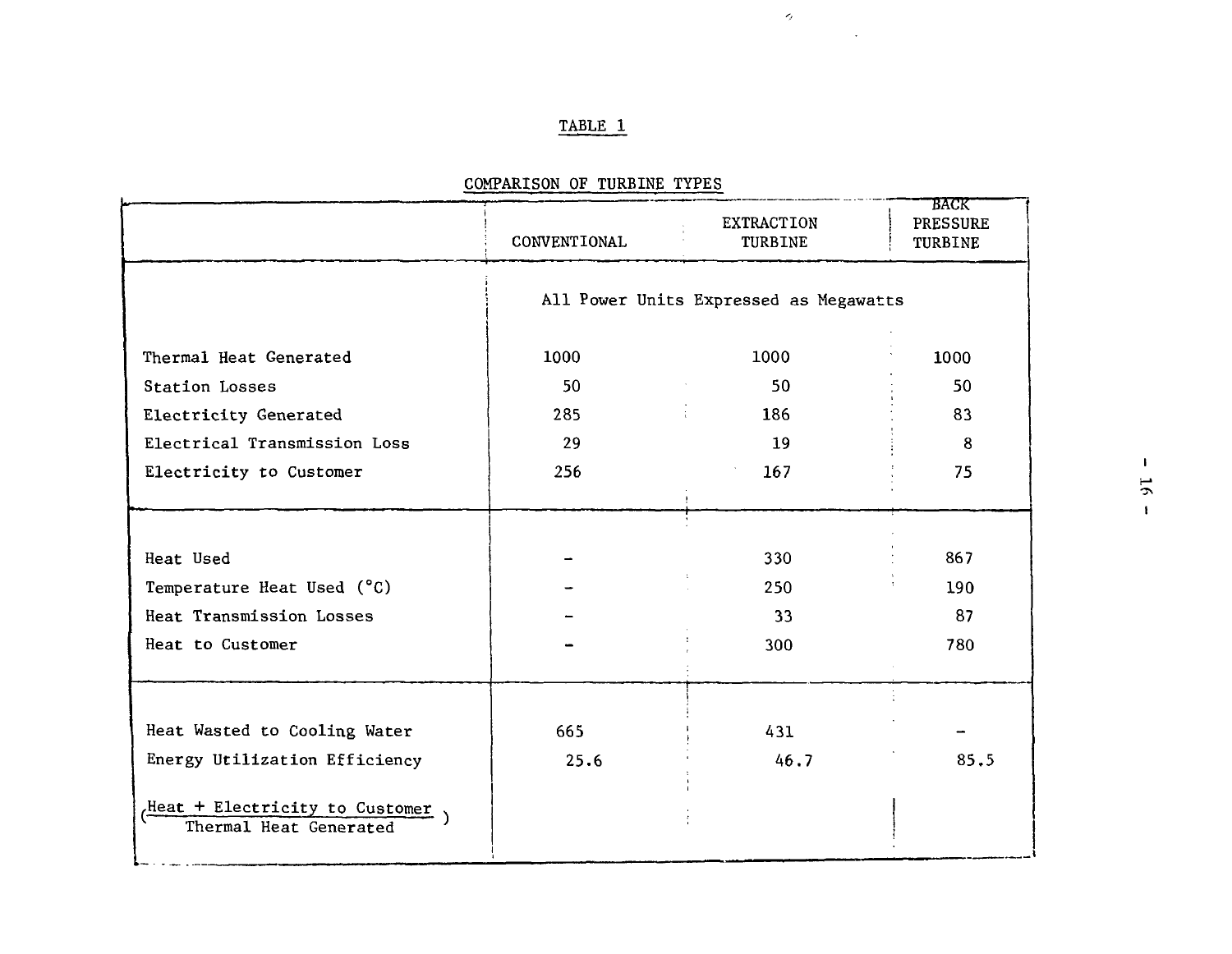## TABLE 1

 $\sigma$ 

 $\ddot{\phantom{a}}$ 

|                                                          | CONVENTIONAL                           | <b>EXTRACTION</b><br>TURBINE | <b>BACK</b><br><b>PRESSURE</b><br>TURBINE |
|----------------------------------------------------------|----------------------------------------|------------------------------|-------------------------------------------|
|                                                          | All Power Units Expressed as Megawatts |                              |                                           |
| Thermal Heat Generated                                   | 1000                                   | 1000                         | 1000                                      |
| Station Losses                                           | 50                                     | 50                           | 50                                        |
| Electricity Generated                                    | 285                                    | 186                          | 83                                        |
| Electrical Transmission Loss                             | 29                                     | 19                           | 8                                         |
| Electricity to Customer                                  | 256                                    | 167                          | 75                                        |
|                                                          |                                        |                              |                                           |
|                                                          |                                        |                              |                                           |
| Heat Used                                                |                                        | 330                          | 867                                       |
| Temperature Heat Used (°C)                               |                                        | 250                          | 190                                       |
| Heat Transmission Losses                                 |                                        | 33                           | 87                                        |
| Heat to Customer                                         |                                        | 300                          | 780                                       |
|                                                          |                                        |                              |                                           |
|                                                          |                                        |                              |                                           |
| Heat Wasted to Cooling Water                             | 665                                    | 431                          |                                           |
| Energy Utilization Efficiency                            | 25.6                                   | 46.7                         | 85.5                                      |
| Heat + Electricity to Customer<br>Thermal Heat Generated |                                        |                              |                                           |

COMPARISON OF TURBINE TYPES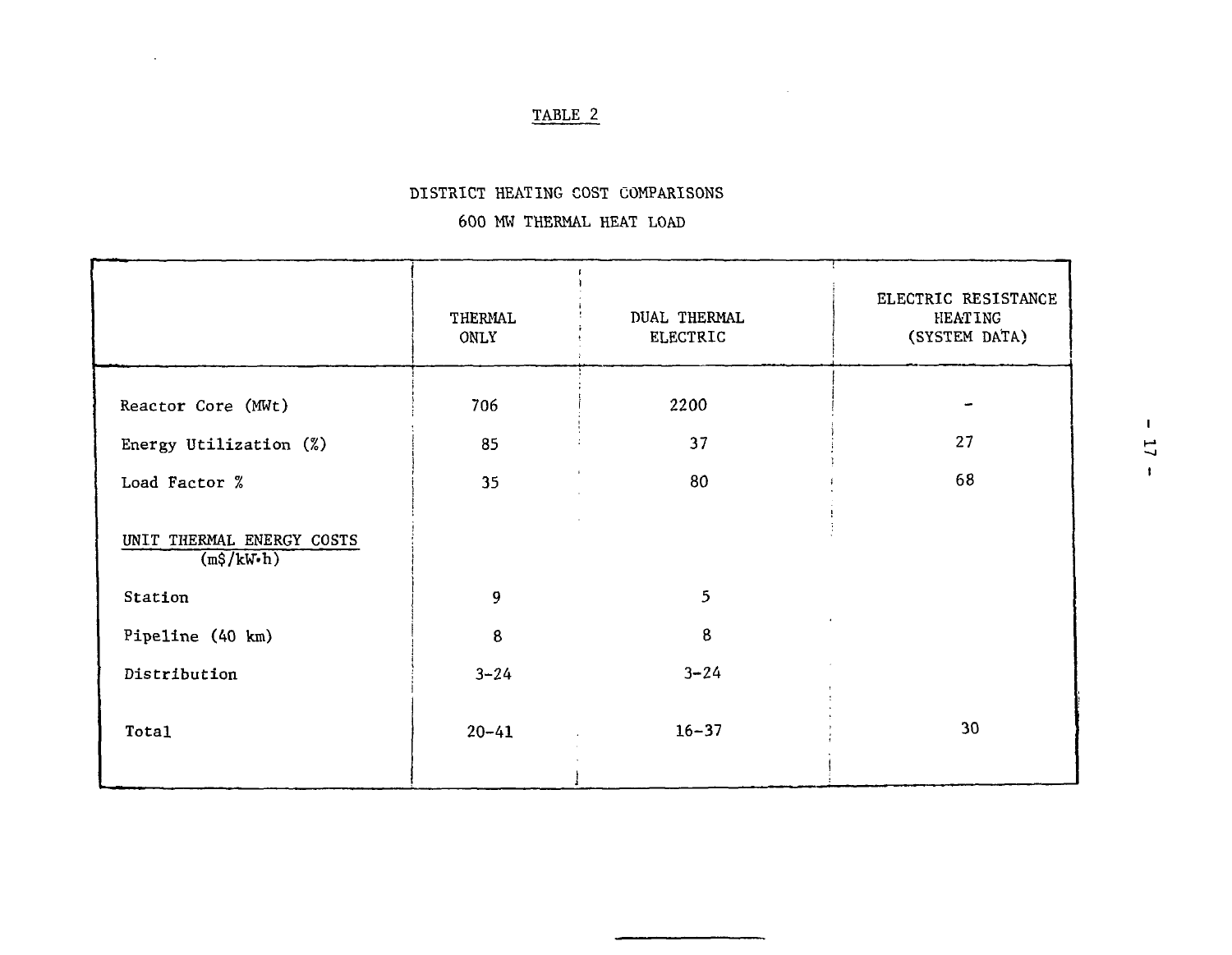## TABLE 2

 $\ddot{\phantom{a}}$ 

## DISTRICT HEATING COST COMPARISONS

## 600 MW THERMAL HEAT LOAD

|                                         | THERMAL<br>ONLY | <b>DUAL THERMAL</b><br><b>ELECTRIC</b> | ELECTRIC RESISTANCE<br><b>HEATING</b><br>(SYSTEM DATA) |
|-----------------------------------------|-----------------|----------------------------------------|--------------------------------------------------------|
| Reactor Core (MWt)                      | 706             | 2200                                   |                                                        |
| Energy Utilization (%)                  | 85              | 37                                     | 27                                                     |
| Load Factor %                           | 35              | 80                                     | 68                                                     |
| UNIT THERMAL ENERGY COSTS<br>(m\$/kW·h) |                 |                                        |                                                        |
| Station                                 | 9               | 5                                      |                                                        |
| Pipeline (40 km)                        | 8               | 8                                      |                                                        |
| Distribution                            | $3 - 24$        | $3 - 24$                               |                                                        |
| Total                                   | $20 - 41$       | $16 - 37$                              | 30                                                     |
|                                         |                 |                                        |                                                        |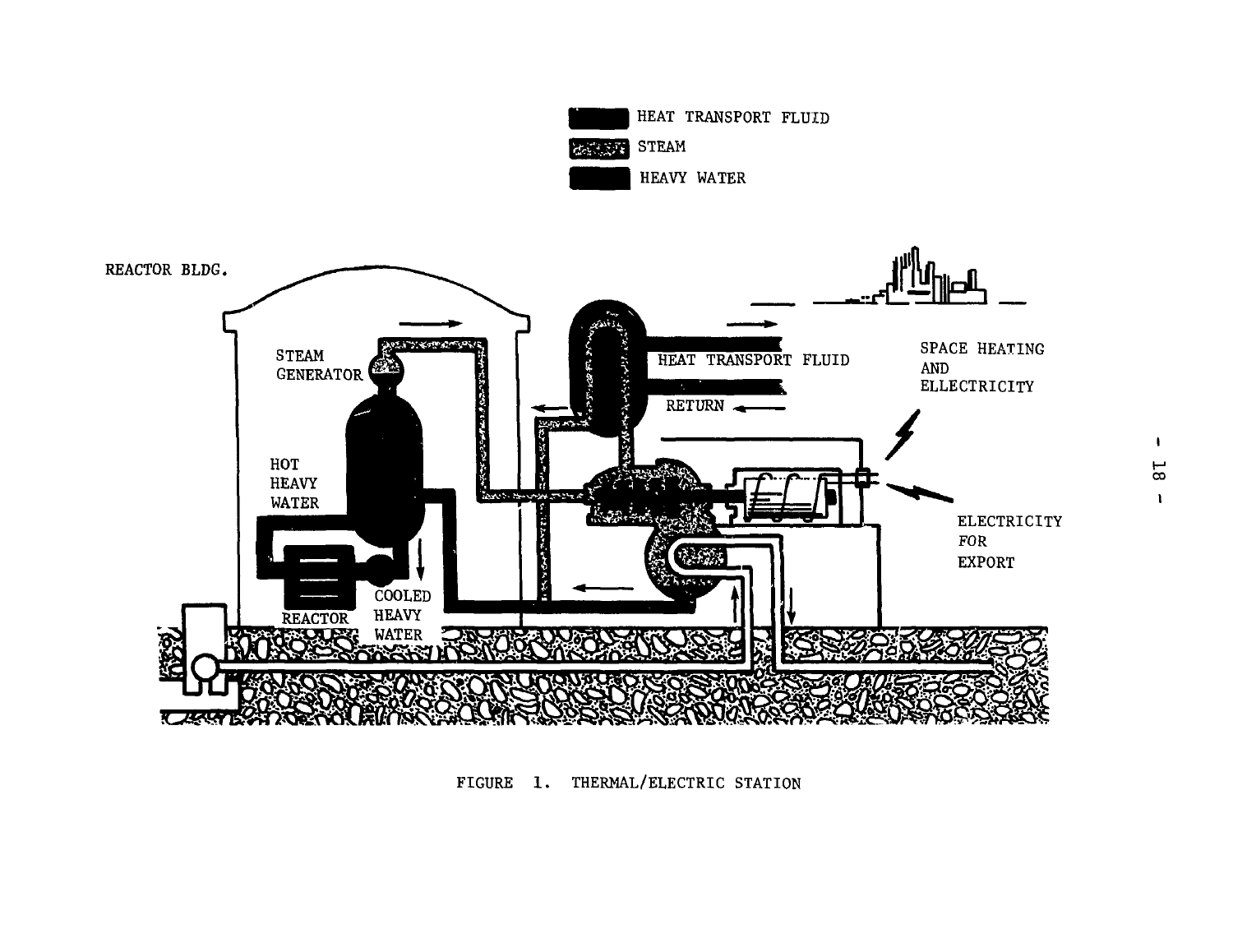

FIGURE 1. THERMAL/ELECTRIC STATION

 $\mathbf{I}$ **C** I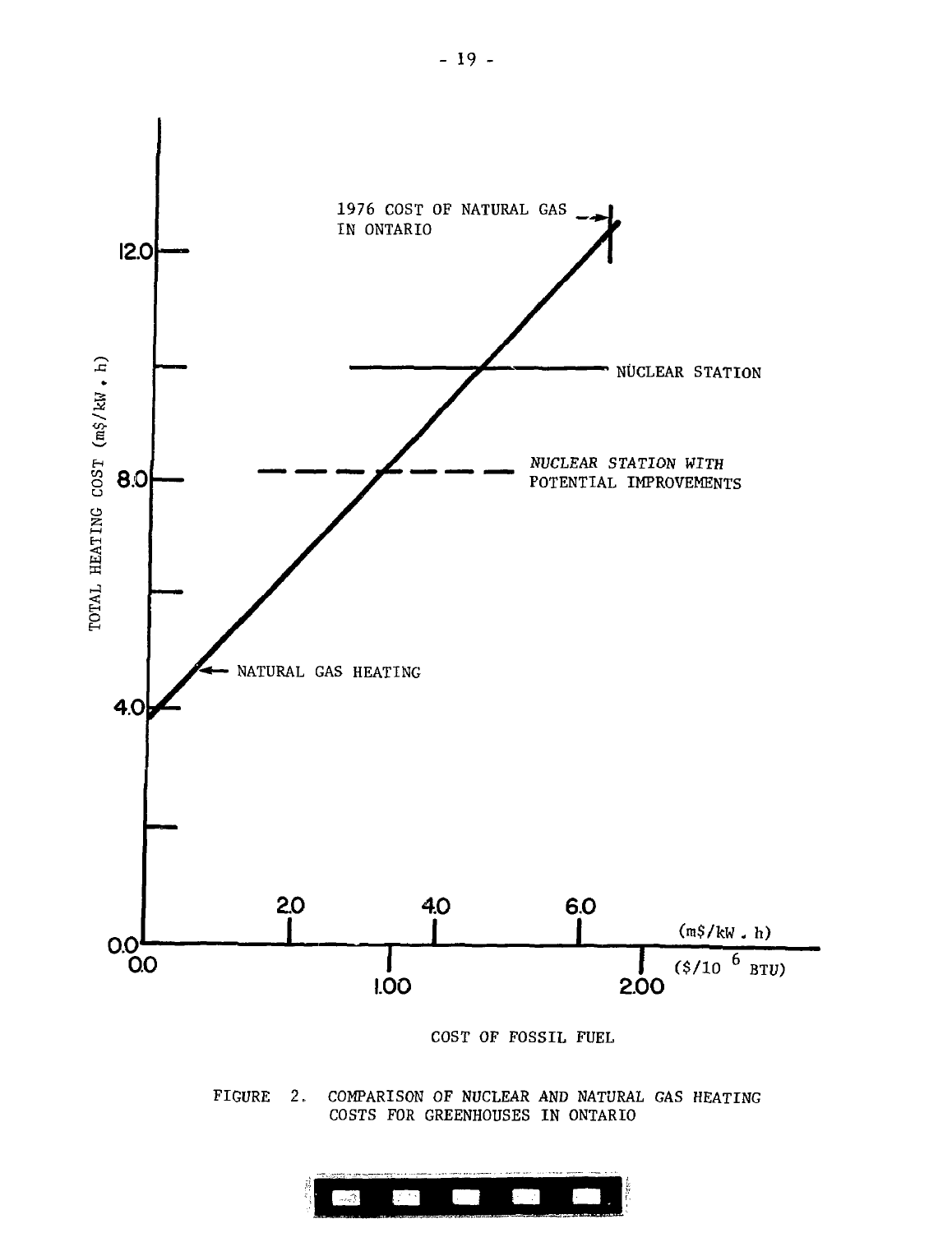

FIGURE 2. COMPARISON OF NUCLEAR AND NATURAL GAS HEATING COSTS FOR GREENHOUSES IN ONTARIO